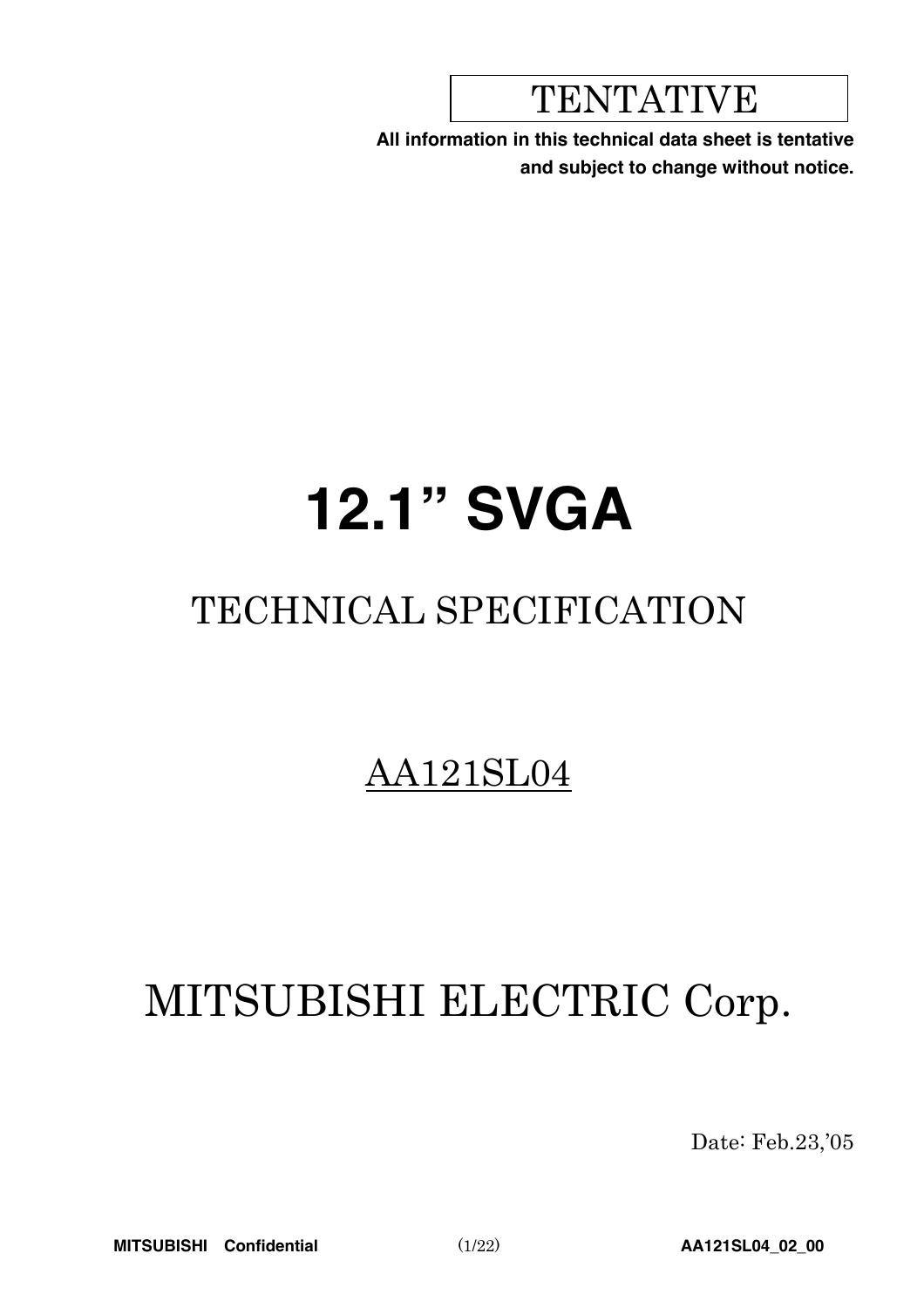## TENTATIVE

**All information in this technical data sheet is tentative and subject to change without notice.**

# **12.1" SVGA**

## TECHNICAL SPECIFICATION

## AA121SL04

## MITSUBISHI ELECTRIC Corp.

Date: Feb.23,'05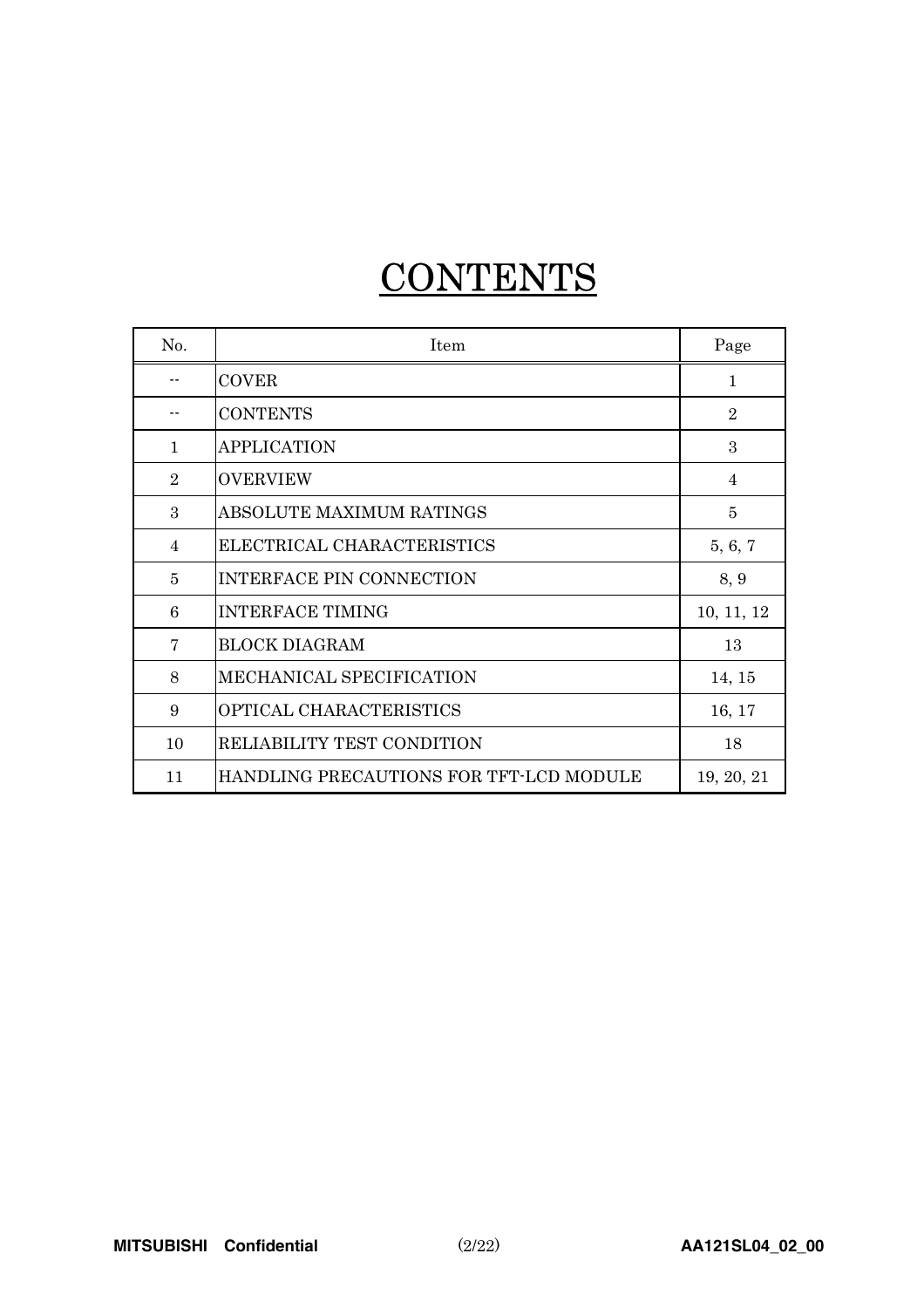## **CONTENTS**

| No.            | Item                                    | Page           |
|----------------|-----------------------------------------|----------------|
|                | <b>COVER</b>                            | $\mathbf{1}$   |
|                | <b>CONTENTS</b>                         | $\overline{2}$ |
| $\mathbf{1}$   | <b>APPLICATION</b>                      | 3              |
| $\overline{2}$ | <b>OVERVIEW</b>                         | $\overline{4}$ |
| 3              | ABSOLUTE MAXIMUM RATINGS                | $\overline{5}$ |
| 4              | ELECTRICAL CHARACTERISTICS              | 5, 6, 7        |
| 5              | <b>INTERFACE PIN CONNECTION</b>         | 8, 9           |
| 6              | <b>INTERFACE TIMING</b>                 | 10, 11, 12     |
| 7              | <b>BLOCK DIAGRAM</b>                    | 13             |
| 8              | MECHANICAL SPECIFICATION                | 14, 15         |
| 9              | OPTICAL CHARACTERISTICS                 | 16, 17         |
| 10             | RELIABILITY TEST CONDITION              | 18             |
| 11             | HANDLING PRECAUTIONS FOR TFT-LCD MODULE | 19, 20, 21     |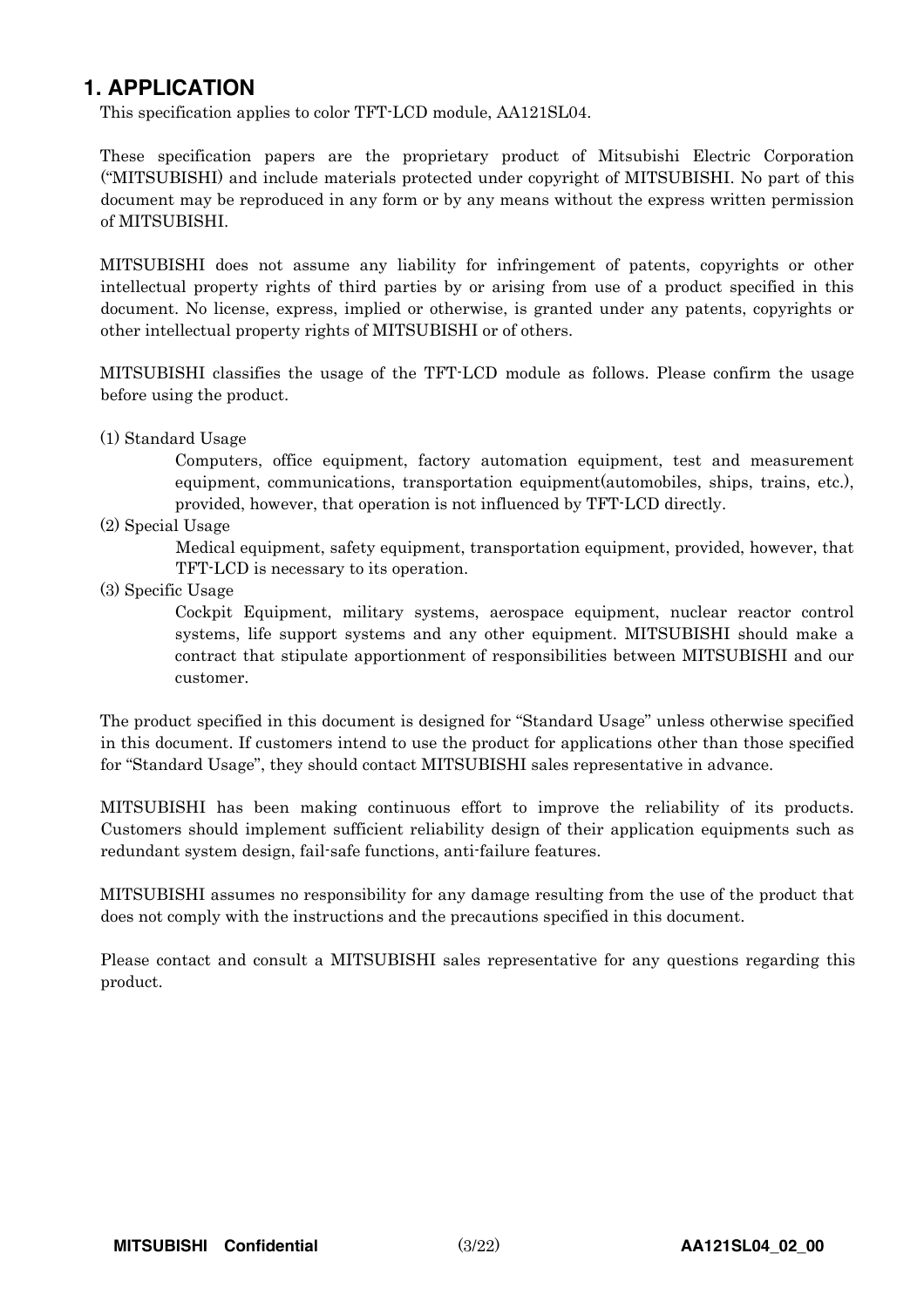### **1. APPLICATION**

This specification applies to color TFT-LCD module, AA121SL04.

These specification papers are the proprietary product of Mitsubishi Electric Corporation ("MITSUBISHI) and include materials protected under copyright of MITSUBISHI. No part of this document may be reproduced in any form or by any means without the express written permission of MITSUBISHI.

MITSUBISHI does not assume any liability for infringement of patents, copyrights or other intellectual property rights of third parties by or arising from use of a product specified in this document. No license, express, implied or otherwise, is granted under any patents, copyrights or other intellectual property rights of MITSUBISHI or of others.

MITSUBISHI classifies the usage of the TFT-LCD module as follows. Please confirm the usage before using the product.

(1) Standard Usage

Computers, office equipment, factory automation equipment, test and measurement equipment, communications, transportation equipment(automobiles, ships, trains, etc.), provided, however, that operation is not influenced by TFT-LCD directly.

(2) Special Usage

Medical equipment, safety equipment, transportation equipment, provided, however, that TFT-LCD is necessary to its operation.

(3) Specific Usage

Cockpit Equipment, military systems, aerospace equipment, nuclear reactor control systems, life support systems and any other equipment. MITSUBISHI should make a contract that stipulate apportionment of responsibilities between MITSUBISHI and our customer.

The product specified in this document is designed for "Standard Usage" unless otherwise specified in this document. If customers intend to use the product for applications other than those specified for "Standard Usage", they should contact MITSUBISHI sales representative in advance.

MITSUBISHI has been making continuous effort to improve the reliability of its products. Customers should implement sufficient reliability design of their application equipments such as redundant system design, fail-safe functions, anti-failure features.

MITSUBISHI assumes no responsibility for any damage resulting from the use of the product that does not comply with the instructions and the precautions specified in this document.

Please contact and consult a MITSUBISHI sales representative for any questions regarding this product.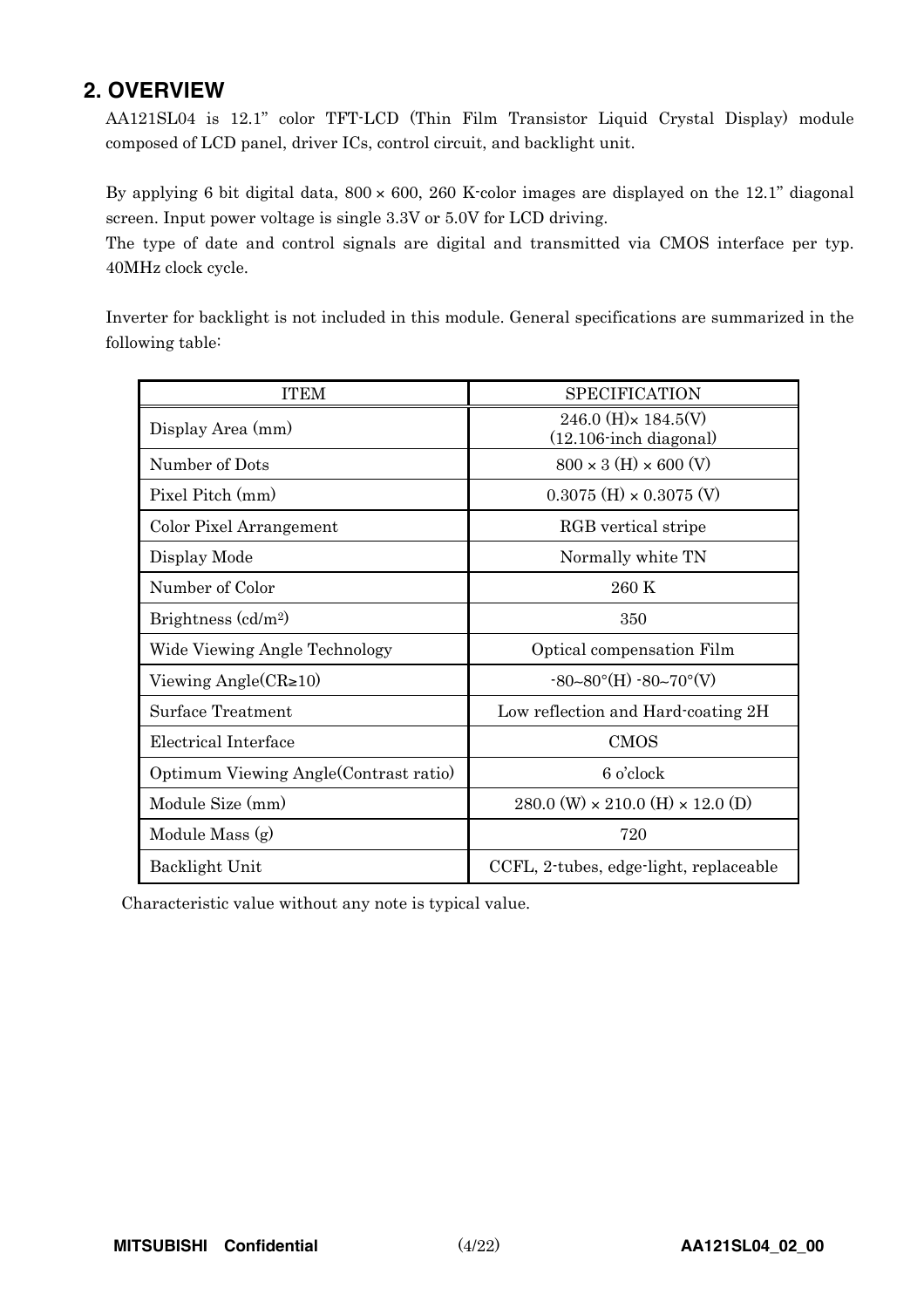### **2. OVERVIEW**

AA121SL04 is 12.1" color TFT-LCD (Thin Film Transistor Liquid Crystal Display) module composed of LCD panel, driver ICs, control circuit, and backlight unit.

By applying 6 bit digital data,  $800 \times 600$ ,  $260$  K-color images are displayed on the 12.1" diagonal screen. Input power voltage is single 3.3V or 5.0V for LCD driving.

The type of date and control signals are digital and transmitted via CMOS interface per typ. 40MHz clock cycle.

Inverter for backlight is not included in this module. General specifications are summarized in the following table:

| <b>ITEM</b>                            | <b>SPECIFICATION</b>                                     |
|----------------------------------------|----------------------------------------------------------|
| Display Area (mm)                      | 246.0 (H) $\times$ 184.5(V)<br>$(12.106$ -inch diagonal) |
| Number of Dots                         | $800 \times 3$ (H) $\times 600$ (V)                      |
| Pixel Pitch (mm)                       | $0.3075$ (H) $\times$ 0.3075 (V)                         |
| Color Pixel Arrangement                | RGB vertical stripe                                      |
| Display Mode                           | Normally white TN                                        |
| Number of Color                        | 260 K                                                    |
| Brightness $\text{(cd/m2)}$            | 350                                                      |
| Wide Viewing Angle Technology          | Optical compensation Film                                |
| Viewing Angle $(CR\geq 10)$            | $-80-80^{\circ}$ (H) $-80-70^{\circ}$ (V)                |
| Surface Treatment                      | Low reflection and Hard-coating 2H                       |
| Electrical Interface                   | <b>CMOS</b>                                              |
| Optimum Viewing Angle (Contrast ratio) | 6 o'clock                                                |
| Module Size (mm)                       | $280.0$ (W) $\times$ 210.0 (H) $\times$ 12.0 (D)         |
| Module Mass (g)                        | 720                                                      |
| Backlight Unit                         | CCFL, 2-tubes, edge-light, replaceable                   |

Characteristic value without any note is typical value.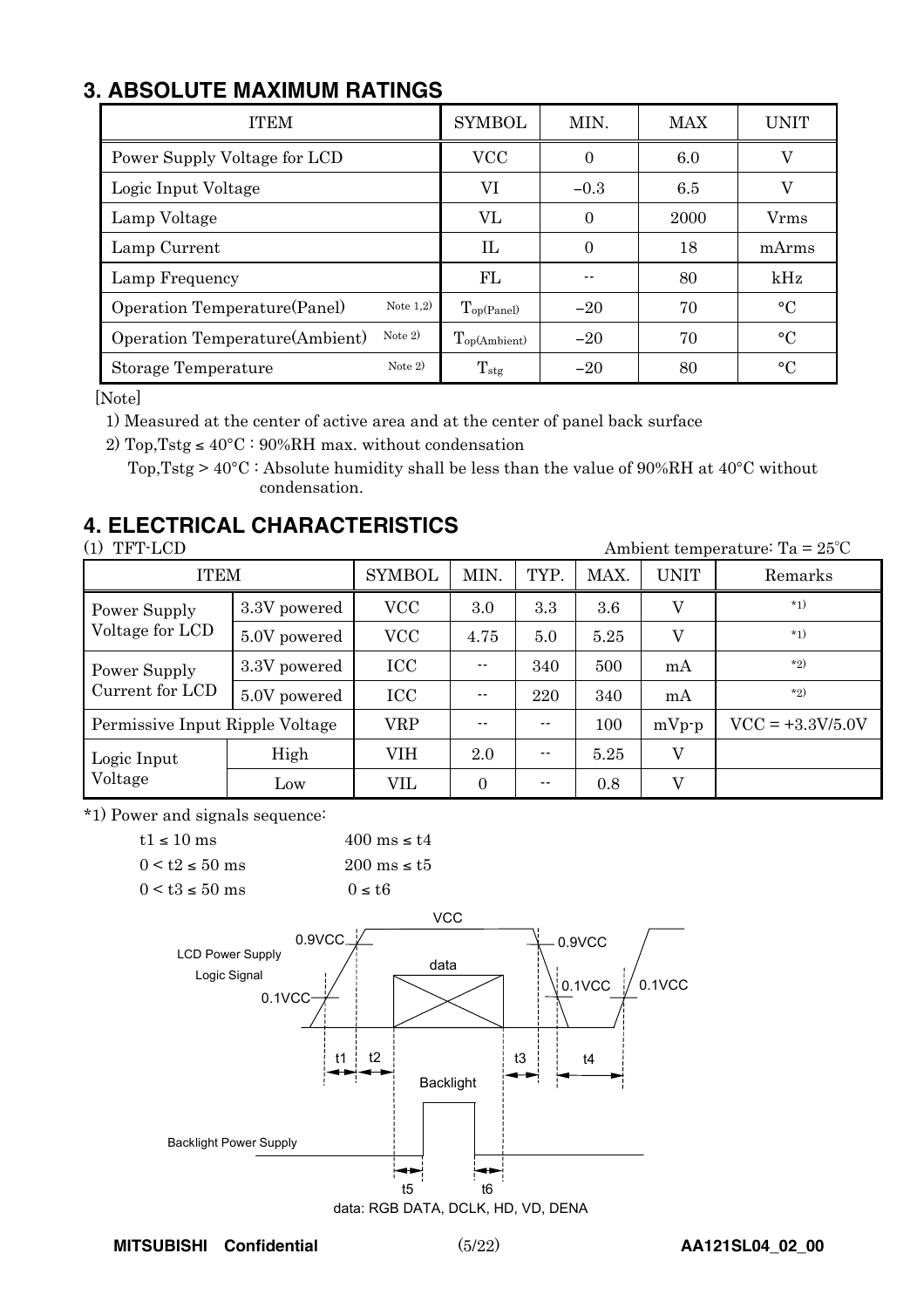## **3. ABSOLUTE MAXIMUM RATINGS**

| <b>ITEM</b>                                  | <b>SYMBOL</b>            | MIN.     | <b>MAX</b> | UNIT      |
|----------------------------------------------|--------------------------|----------|------------|-----------|
| Power Supply Voltage for LCD                 | <b>VCC</b>               | $\theta$ | 6.0        | V         |
| Logic Input Voltage                          | VI                       | $-0.3$   | 6.5        | V         |
| Lamp Voltage                                 | VL                       | 0        | 2000       | Vrms      |
| Lamp Current                                 | IL                       | $\Omega$ | 18         | mArms     |
| Lamp Frequency                               | FL                       |          | 80         | kHz       |
| Note $1,2)$<br>Operation Temperature (Panel) | $T_{op(Panel)}$          | $-20$    | 70         | $\circ$ C |
| Note $2)$<br>Operation Temperature(Ambient)  | $T_{\text{op(Ambient)}}$ | $-20$    | 70         | $\circ$ C |
| Note $2)$<br>Storage Temperature             | $T_{\rm stg}$            | $-20$    | 80         | $\circ$ C |

[Note]

1) Measured at the center of active area and at the center of panel back surface

2) Top, Tstg  $\leq 40^{\circ}\text{C}$ : 90%RH max. without condensation

Top, Tstg >  $40^{\circ}$ C : Absolute humidity shall be less than the value of 90%RH at  $40^{\circ}$ C without condensation.

## **4. ELECTRICAL CHARACTERISTICS**

(1) TFT-LCD Ambient temperature: Ta = 25°C ITEM | SYMBOL | MIN. | TYP. | MAX. | UNIT | Remarks 3.3V powered VCC 3.0 3.3 3.6 V \*1) Power Supply Voltage for LCD 5.0V powered VCC 4.75 5.0 5.25 V \*1) Power Supply  $\begin{array}{|c|c|c|c|c|c|c|c|c|} \hline 3.3V \hline \end{array}$  ICC  $\begin{array}{|c|c|c|c|c|c|c|c|} \hline -1340 & 500 & mA & \end{array}$ Current for LCD 5.0V powered ICC -- 220 340 mA \*2) Permissive Input Ripple Voltage  $\vert$  VRP  $\vert$  --  $\vert$  --  $\vert$  100  $\vert$  mVp-p  $\vert$  VCC = +3.3V/5.0V Logic Input High VIH 2.0 -- 5.25 V Voltage  $\begin{array}{|c|c|c|c|c|c|c|c|c|} \hline \end{array}$  Low  $\begin{array}{|c|c|c|c|c|c|c|c|} \hline \end{array}$  VIL  $\begin{array}{|c|c|c|c|c|c|c|} \hline \end{array}$  0.8 V

\*1) Power and signals sequence:

| $t1 \le 10$ ms       | $400 \text{ ms} \leq t4$ |
|----------------------|--------------------------|
| $0 < t$ $\leq 50$ ms | $200 \text{ ms} \leq t5$ |
| $0 < t3 \le 50$ ms   | $0 \leq t6$              |



data: RGB DATA, DCLK, HD, VD, DENA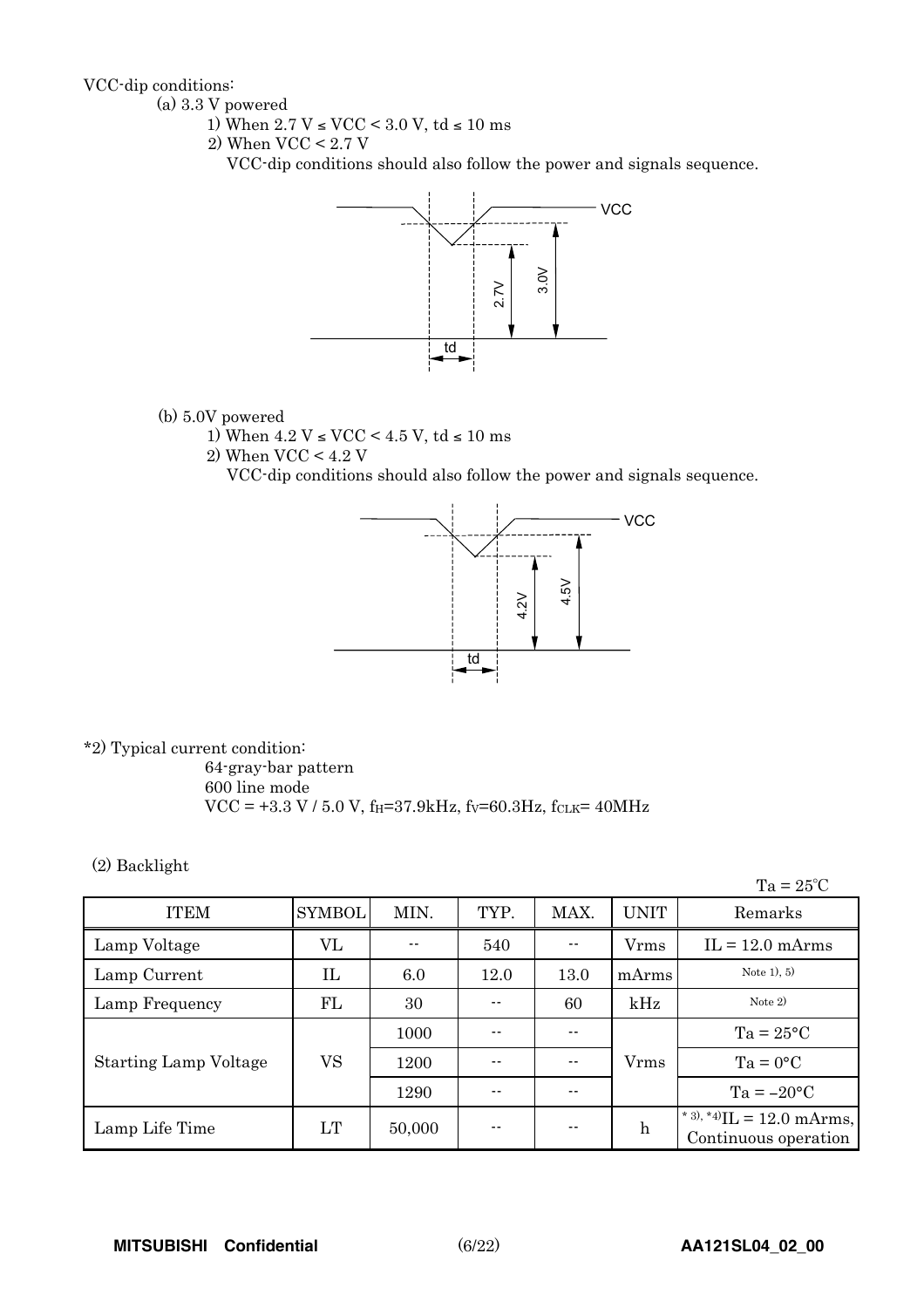VCC-dip conditions:

- (a) 3.3 V powered
	- 1) When  $2.7$  V  $\leq$  VCC  $\leq$  3.0 V, td  $\leq$  10 ms
	- 2) When VCC < 2.7 V

VCC-dip conditions should also follow the power and signals sequence.



- (b) 5.0V powered
	- 1) When  $4.2$  V  $\leq$  VCC  $\leq$  4.5 V, td  $\leq$  10 ms
	- 2) When VCC < 4.2 V

VCC-dip conditions should also follow the power and signals sequence.



\*2) Typical current condition:

64-gray-bar pattern 600 line mode  $VCC = +3.3 V / 5.0 V$ , f<sub>H</sub>=37.9kHz, fv=60.3Hz, fcLK= 40MHz

(2) Backlight

 $Ta = 25^{\circ}C$ 

| <b>ITEM</b>                  | <b>SYMBOL</b> | MIN.   | TYP.  | MAX. | <b>UNIT</b>  | Remarks                                              |
|------------------------------|---------------|--------|-------|------|--------------|------------------------------------------------------|
| Lamp Voltage                 | VL            |        | 540   |      | <b>V</b> rms | $IL = 12.0$ mArms                                    |
| Lamp Current                 | IL            | 6.0    | 12.0  | 13.0 | mArms        | Note $1, 5$                                          |
| Lamp Frequency               | FL            | 30     | $- -$ | 60   | kHz          | Note $2)$                                            |
|                              |               | 1000   |       | --   |              | $Ta = 25^{\circ}C$                                   |
| <b>Starting Lamp Voltage</b> | VS            | 1200   | --    | --   | <b>V</b> rms | $Ta = 0^{\circ}C$                                    |
|                              |               | 1290   | --    |      |              | $Ta = -20°C$                                         |
| Lamp Life Time               | LT            | 50,000 | --    |      | $\mathbf h$  | * 3), *4) $IL = 12.0$ mArms,<br>Continuous operation |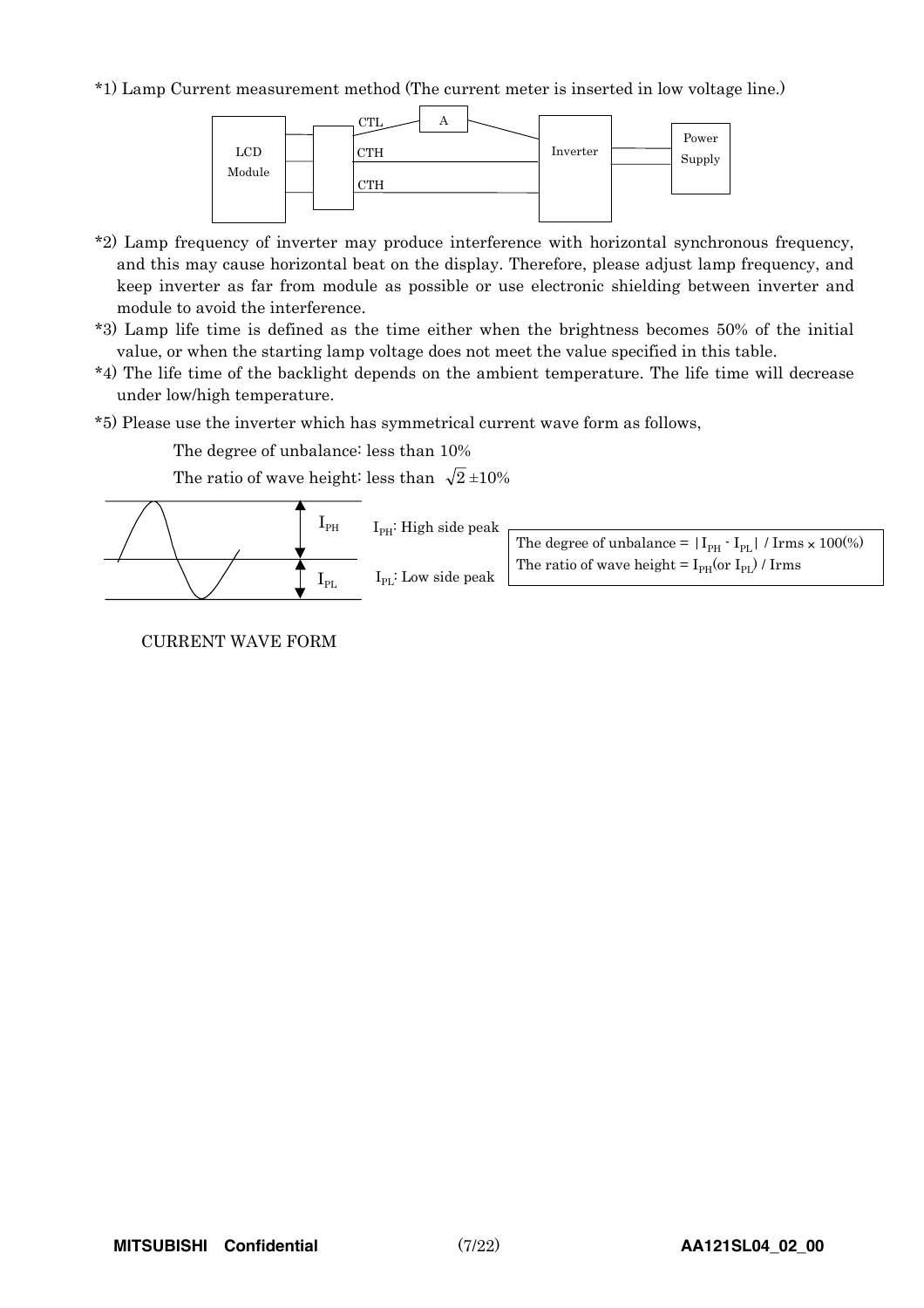\*1) Lamp Current measurement method (The current meter is inserted in low voltage line.)



- \*2) Lamp frequency of inverter may produce interference with horizontal synchronous frequency, and this may cause horizontal beat on the display. Therefore, please adjust lamp frequency, and keep inverter as far from module as possible or use electronic shielding between inverter and module to avoid the interference.
- \*3) Lamp life time is defined as the time either when the brightness becomes 50% of the initial value, or when the starting lamp voltage does not meet the value specified in this table.
- \*4) The life time of the backlight depends on the ambient temperature. The life time will decrease under low/high temperature.
- \*5) Please use the inverter which has symmetrical current wave form as follows,

The degree of unbalance: less than 10%

The ratio of wave height: less than  $\sqrt{2} \pm 10\%$ 



CURRENT WAVE FORM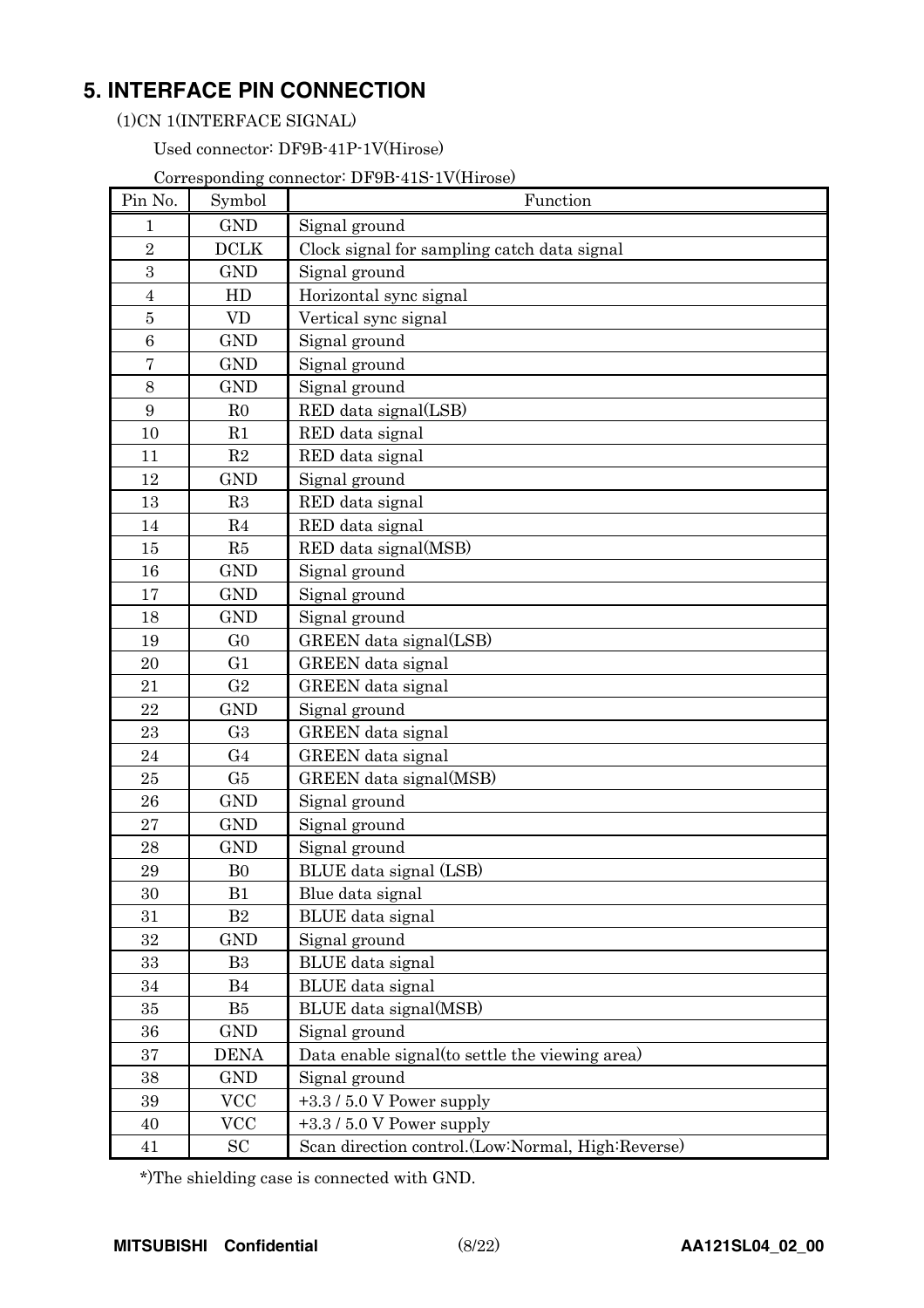## **5. INTERFACE PIN CONNECTION**

(1)CN 1(INTERFACE SIGNAL)

Used connector: DF9B-41P-1V(Hirose)

Corresponding connector: DF9B-41S-1V(Hirose)

| Pin No.        | Symbol         | Function                                          |
|----------------|----------------|---------------------------------------------------|
| 1              | <b>GND</b>     | Signal ground                                     |
| $\overline{2}$ | <b>DCLK</b>    | Clock signal for sampling catch data signal       |
| $\overline{3}$ | <b>GND</b>     | Signal ground                                     |
| $\overline{4}$ | HD             | Horizontal sync signal                            |
| $\overline{5}$ | <b>VD</b>      | Vertical sync signal                              |
| 6              | <b>GND</b>     | Signal ground                                     |
| 7              | <b>GND</b>     | Signal ground                                     |
| 8              | <b>GND</b>     | Signal ground                                     |
| 9              | R <sub>0</sub> | RED data signal(LSB)                              |
| 10             | R1             | RED data signal                                   |
| 11             | R2             | RED data signal                                   |
| 12             | <b>GND</b>     | Signal ground                                     |
| 13             | R3             | RED data signal                                   |
| 14             | R4             | RED data signal                                   |
| 15             | R5             | RED data signal(MSB)                              |
| 16             | <b>GND</b>     | Signal ground                                     |
| 17             | <b>GND</b>     | Signal ground                                     |
| 18             | <b>GND</b>     | Signal ground                                     |
| 19             | G <sub>0</sub> | GREEN data signal(LSB)                            |
| 20             | G <sub>1</sub> | <b>GREEN</b> data signal                          |
| 21             | G <sub>2</sub> | <b>GREEN</b> data signal                          |
| 22             | <b>GND</b>     | Signal ground                                     |
| 23             | G <sub>3</sub> | GREEN data signal                                 |
| 24             | G <sub>4</sub> | <b>GREEN</b> data signal                          |
| 25             | G5             | GREEN data signal(MSB)                            |
| 26             | <b>GND</b>     | Signal ground                                     |
| 27             | <b>GND</b>     | Signal ground                                     |
| 28             | <b>GND</b>     | Signal ground                                     |
| 29             | B <sub>0</sub> | BLUE data signal (LSB)                            |
| 30             | B1             | Blue data signal                                  |
| 31             | B2             | <b>BLUE</b> data signal                           |
| 32             | <b>GND</b>     | Signal ground                                     |
| 33             | B <sub>3</sub> | BLUE data signal                                  |
| 34             | B <sub>4</sub> | BLUE data signal                                  |
| 35             | B <sub>5</sub> | BLUE data signal(MSB)                             |
| 36             | <b>GND</b>     | Signal ground                                     |
| 37             | <b>DENA</b>    | Data enable signal (to settle the viewing area)   |
| 38             | <b>GND</b>     | Signal ground                                     |
| 39             | <b>VCC</b>     | $+3.3/5.0$ V Power supply                         |
| 40             | <b>VCC</b>     | $+3.3/5.0$ V Power supply                         |
| 41             | <b>SC</b>      | Scan direction control.(Low:Normal, High:Reverse) |

\*)The shielding case is connected with GND.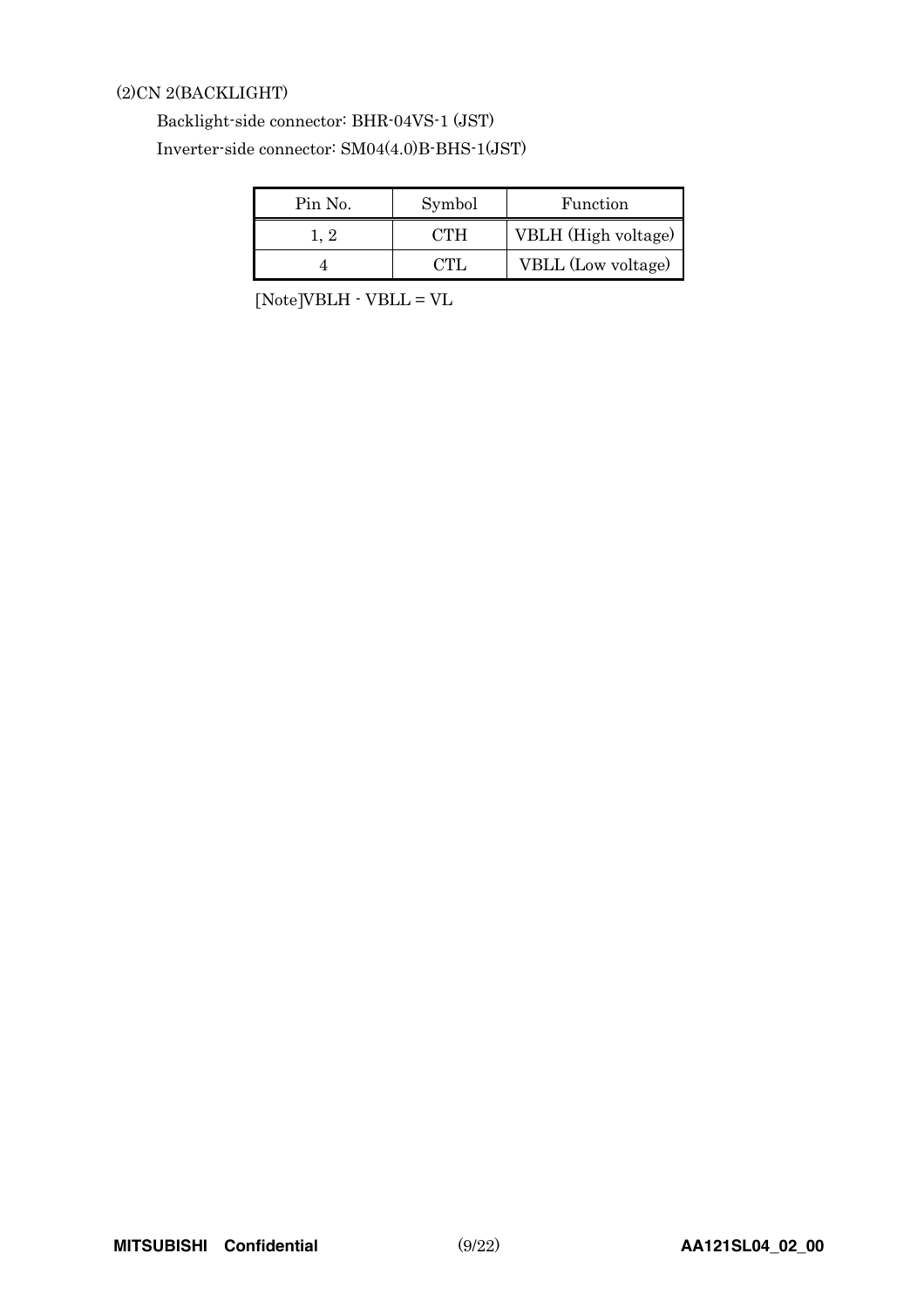### (2)CN 2(BACKLIGHT)

### Backlight-side connector: BHR-04VS-1 (JST) Inverter-side connector: SM04(4.0)B-BHS-1(JST)

| Pin No. | Symbol | Function            |
|---------|--------|---------------------|
|         | OTH.   | VBLH (High voltage) |
|         |        | VBLL (Low voltage)  |

[Note]VBLH - VBLL = VL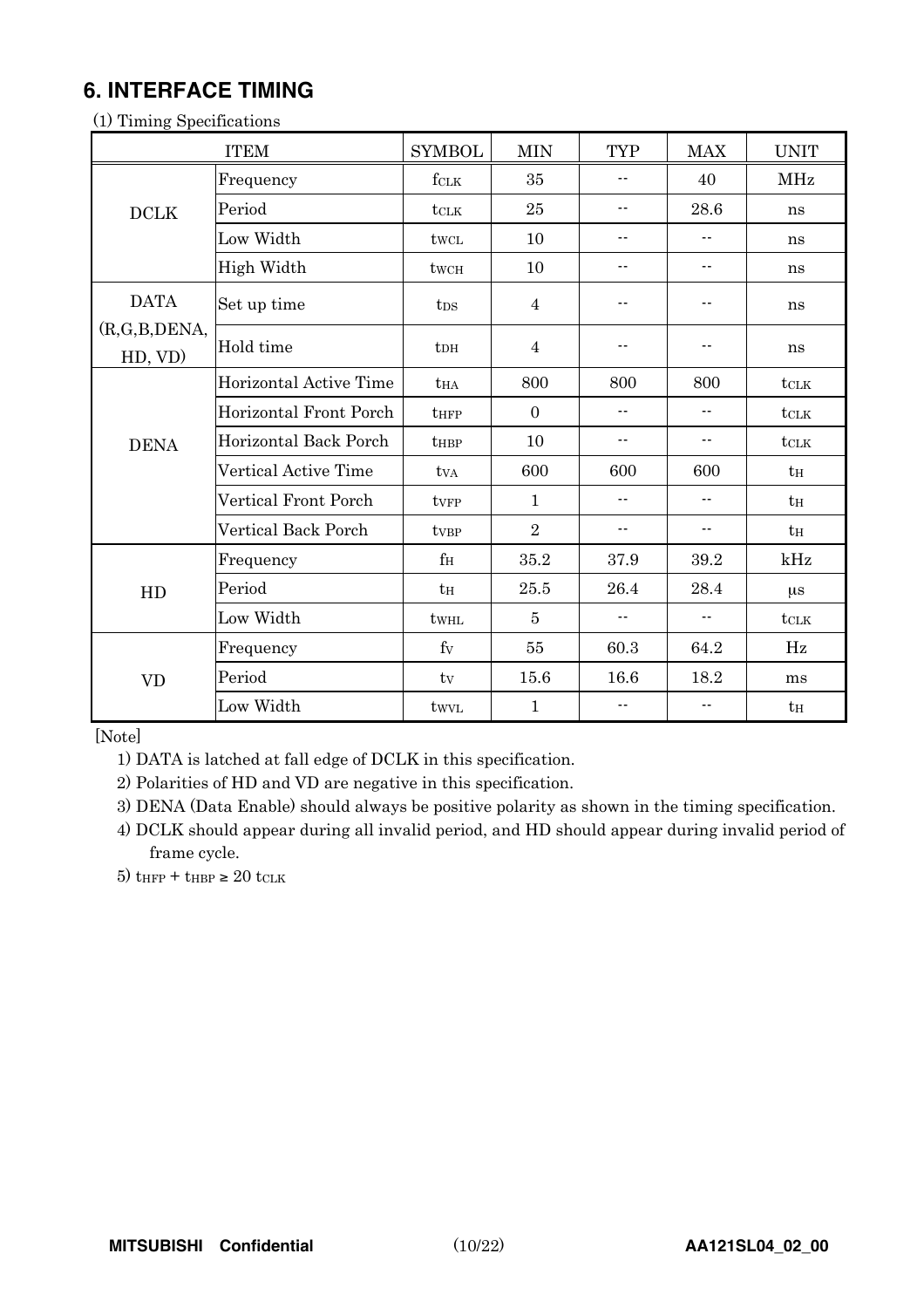## **6. INTERFACE TIMING**

|              | <b>ITEM</b>            | <b>SYMBOL</b>    | <b>MIN</b>     | <b>TYP</b>               | <b>MAX</b>                 | <b>UNIT</b>      |
|--------------|------------------------|------------------|----------------|--------------------------|----------------------------|------------------|
|              | Frequency              | fclk             | 35             | $\overline{\phantom{a}}$ | 40                         | <b>MHz</b>       |
| DCLK         | Period                 | tclk             | 25             | $\overline{\phantom{a}}$ | 28.6                       | ns               |
|              | Low Width              | twcL             | 10             | $\overline{\phantom{a}}$ | $\overline{\phantom{a}}$ . | ns               |
|              | High Width             | twcH             | 10             | $-$                      | $-$                        | ns               |
| <b>DATA</b>  | Set up time            | t <sub>DS</sub>  | $\overline{4}$ | --                       | $ -$                       | ns               |
| (R,G,B,DENA, | Hold time              | $t$ DH           | $\overline{4}$ | ٠.                       |                            | ns               |
| HD, VD)      | Horizontal Active Time |                  | 800            | 800                      | 800                        |                  |
|              |                        | <b>t</b> HA      |                |                          |                            | $t$ CLK          |
|              | Horizontal Front Porch | $t_{\rm HFP}$    | $\overline{0}$ | $-$                      | $\overline{\phantom{a}}$ . | $t_{\text{CLK}}$ |
| <b>DENA</b>  | Horizontal Back Porch  | tHBP             | 10             | ۰-                       | $ -$                       | $t$ CLK          |
|              | Vertical Active Time   | tva              | 600            | 600                      | 600                        | tн               |
|              | Vertical Front Porch   | tyFP             | 1              | $-$                      | $\overline{\phantom{a}}$ . | tн               |
|              | Vertical Back Porch    | ty <sub>BP</sub> | $\overline{2}$ | --                       | $\overline{\phantom{a}}$ . | $t_H$            |
|              | Frequency              | $f_{\rm H}$      | 35.2           | 37.9                     | 39.2                       | kHz              |
| HD           | Period                 | $t_H$            | 25.5           | 26.4                     | 28.4                       | $\mu$ s          |
|              | Low Width              | twHL             | $\overline{5}$ | ۰-                       | $\overline{\phantom{a}}$   | tclk             |
|              | Frequency              | $f_V$            | 55             | 60.3                     | 64.2                       | Hz               |
| <b>VD</b>    | Period                 | tv               | 15.6           | 16.6                     | 18.2                       | ms               |
|              | Low Width              | twyl             | $\mathbf 1$    | --                       | --                         | $t_H$            |

(1) Timing Specifications

[Note]

1) DATA is latched at fall edge of DCLK in this specification.

2) Polarities of HD and VD are negative in this specification.

3) DENA (Data Enable) should always be positive polarity as shown in the timing specification.

4) DCLK should appear during all invalid period, and HD should appear during invalid period of frame cycle.

5)  $t$ HFP +  $t$ HBP  $\geq 20$  tCLK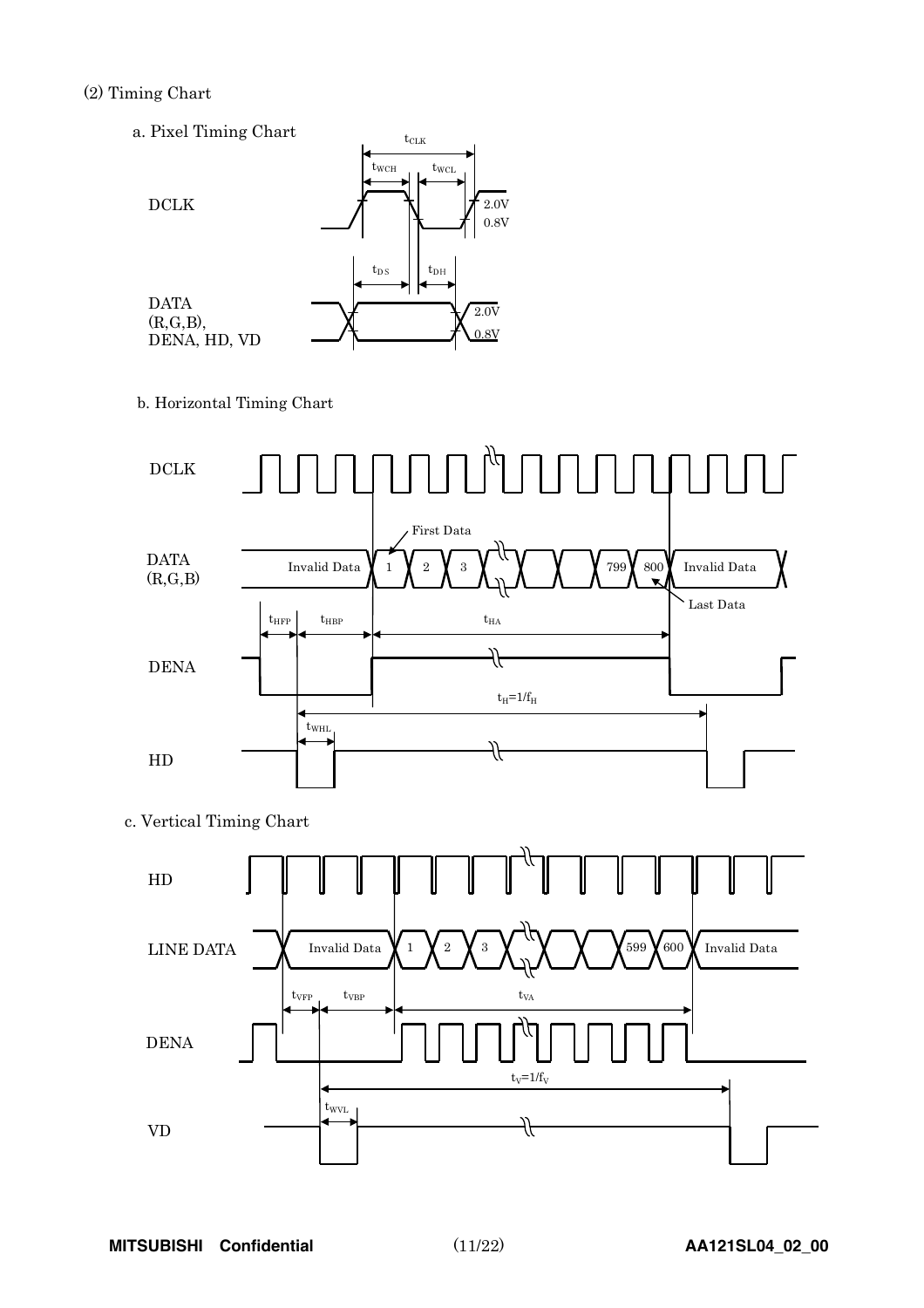### (2) Timing Chart

a. Pixel Timing Chart



b. Horizontal Timing Chart



c. Vertical Timing Chart

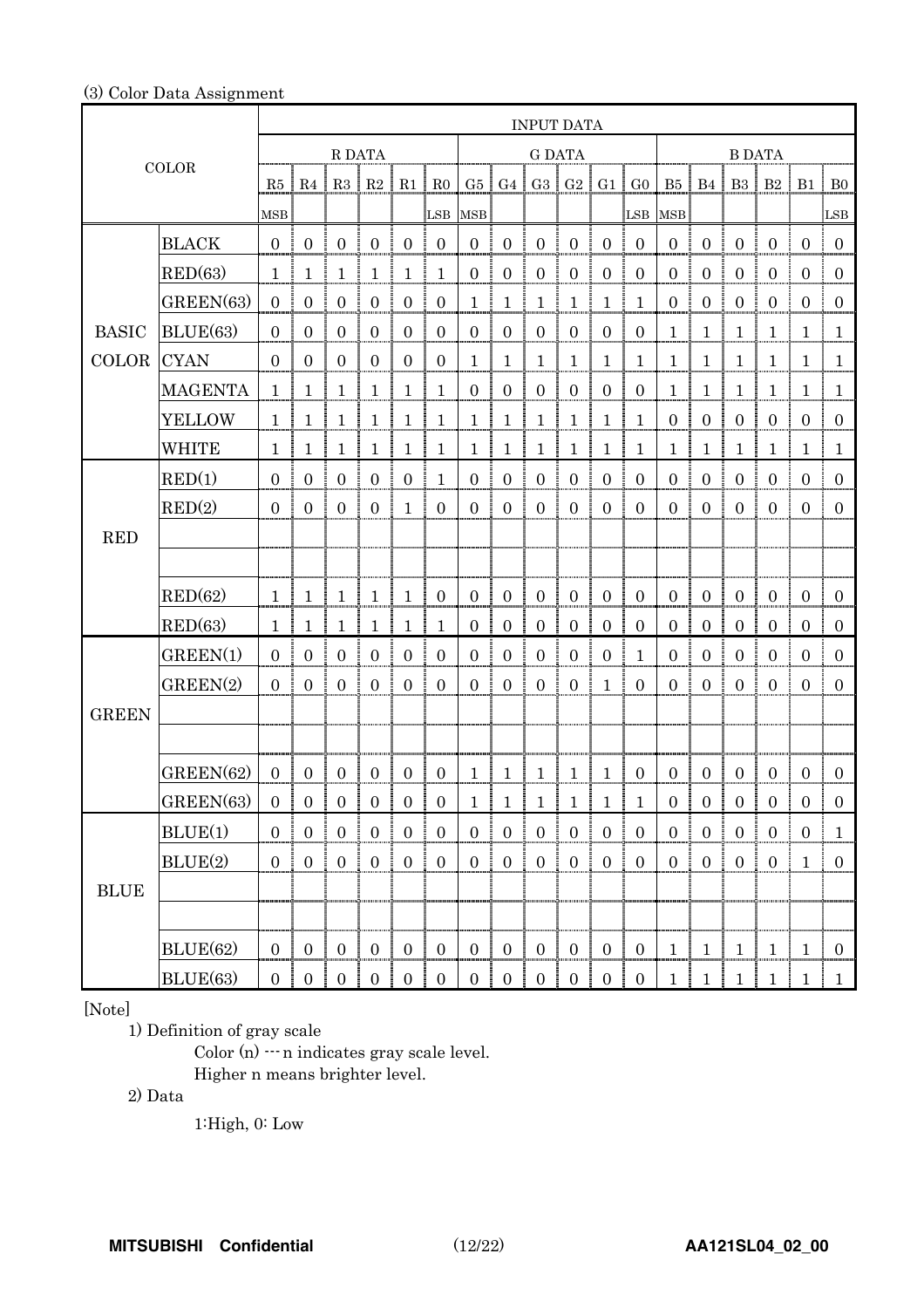### (3) Color Data Assignment

|                       |                | <b>INPUT DATA</b>   |                  |                          |                                              |                                                   |                        |                  |                           |                            |                                       |                  |                  |                       |                      |                                  |                     |                           |                |
|-----------------------|----------------|---------------------|------------------|--------------------------|----------------------------------------------|---------------------------------------------------|------------------------|------------------|---------------------------|----------------------------|---------------------------------------|------------------|------------------|-----------------------|----------------------|----------------------------------|---------------------|---------------------------|----------------|
|                       |                | R DATA              |                  |                          |                                              |                                                   | <b>G DATA</b>          |                  |                           |                            |                                       | <b>B DATA</b>    |                  |                       |                      |                                  |                     |                           |                |
|                       | <b>COLOR</b>   | $R5 \mid R4$        |                  |                          | R3   R2                                      | R1                                                | $\parallel$ RO         |                  | G5   G4   G3   G2         |                            |                                       |                  | $G1$ $G0$        |                       | $B5 \mid B4 \mid$    |                                  |                     | $B3 \mid B2 \mid B1 \mid$ | B <sub>0</sub> |
|                       |                | $_{\rm MSB}$        |                  |                          |                                              |                                                   |                        | LSB MSB          |                           |                            |                                       |                  | LSB MSB          |                       |                      |                                  |                     |                           | LSB            |
|                       | <b>BLACK</b>   | 0 <sup>1</sup>      | $\mathbf{0}$     | $\boldsymbol{0}$         | $\overline{0}$                               | $\overline{0}$                                    | $\mathbf{0}$           | $\mathbf{0}$     | $\boldsymbol{0}$          | $\boldsymbol{0}$           | $\boldsymbol{0}$                      | $\overline{0}$   | $\mathbf{0}$     | $\boldsymbol{0}$      | $\boldsymbol{0}$     | $\boldsymbol{0}$                 | $\mathbf{0}$        | $\mathbf{0}$              | $\mathbf{0}$   |
|                       | RED(63)        | $\mathbf{1}$        | 1                | $\mathbf{1}$             | $\mathbf{1}$                                 | $\mathbf{1}$                                      | $\mathbf{1}$           | $\overline{0}$   | $\boldsymbol{0}$          | $\boldsymbol{0}$           | $\boldsymbol{0}$                      | $\boldsymbol{0}$ | $\overline{0}$   | $\boldsymbol{0}$      | $\boldsymbol{0}$     | $\boldsymbol{0}$                 | $\boldsymbol{0}$    | $\boldsymbol{0}$          | $\mathbf{0}$   |
|                       | GREEN(63)      | $\boldsymbol{0}$    | $\mathbf{0}$     | $\boldsymbol{0}$         | $\boldsymbol{0}$                             | $\overline{0}$                                    | $\boldsymbol{0}$       | $\mathbf{1}$     | $\mathbf{1}$              | $\mathbf{1}$               | $\mathbf{1}$                          | $\mathbf{1}$     | $\mathbf{1}$     | $\boldsymbol{0}$      | $\boldsymbol{0}$     | $\boldsymbol{0}$                 | $\boldsymbol{0}$    | $\boldsymbol{0}$          | $\mathbf{0}$   |
| <b>BASIC</b>          | BLUE(63)       | $\mathbf{0}$        | $\overline{0}$   | $\mathbf{0}$             | $\overline{0}$                               | $\overline{0}$                                    | $\boldsymbol{0}$       | $\overline{0}$   | $\boldsymbol{0}$          | $\boldsymbol{0}$           | $\boldsymbol{0}$                      | $\overline{0}$   | $\boldsymbol{0}$ | $\mathbf{1}$          | $\mathbf{1}$         | $\mathbf{1}$                     | $\mathbf{1}$        | 1                         | $\mathbf{1}$   |
| <b>COLOR</b>          | <b>CYAN</b>    | $\overline{0}$      | $\overline{0}$   | $\overline{0}$           | $\boldsymbol{0}$                             | $\overline{0}$                                    | $\mathbf{0}$           | $\mathbf{1}$     | 1                         | $\mathbf{1}$               | $\mathbf{1}$                          | 1                | $\mathbf 1$      | $\mathbf{1}$          | 1                    | 1                                | $\mathbf{1}$        | 1                         | $\mathbf{1}$   |
|                       | <b>MAGENTA</b> | $\mathbf 1$         | $\mathbf{1}$     | $\mathbf{1}$             | $\mathbf{1}$                                 | $\mathbf{1}$                                      | $\mathbf{1}$           | $\boldsymbol{0}$ | $\boldsymbol{0}$          | $\boldsymbol{0}$           | $\boldsymbol{0}$                      | $\boldsymbol{0}$ | $\boldsymbol{0}$ | $\mathbf{1}$          | $\mathbf{1}$         | $\mathbf{1}$                     | $\mathbf{1}$        | $\mathbf{1}$              | $\mathbf{1}$   |
|                       | <b>YELLOW</b>  | $\mathbf{1}$        | $\mathbf 1$      | $\mathbf{1}$             | $\mathbf{1}$                                 | $\mathbf{1}$                                      | 1                      | $\mathbf{1}$     | $\mathbf{1}$              | $\mathbf{1}$               | $\mathbf{1}$                          | $\mathbf 1$      | $\mathbf{1}$     | $\boldsymbol{0}$      | $\boldsymbol{0}$     | $\overline{0}$                   | $\overline{0}$      | $\boldsymbol{0}$          | $\mathbf{0}$   |
|                       | <b>WHITE</b>   | 1                   | 1                | $\mathbf{1}$<br>÷        | $\mathbf{1}$                                 | $\mathbf{1}$                                      | 1                      | 1                | $\mathbf{1}$<br>ł         | $\mathbf{1}$               | $\mathbf{1}$                          | $\mathbf{1}$     | $\mathbf{1}$     | 1                     | ł<br>$\mathbf 1$     | 1                                | $\mathbf{1}$        | 1                         | $\mathbf{1}$   |
|                       | RED(1)         | $\overline{0}$      | $\overline{0}$   | $\boldsymbol{0}$         | $\boldsymbol{0}$                             | $\overline{0}$                                    | $\mathbf{1}$           | $\boldsymbol{0}$ | $\boldsymbol{0}$          | $\boldsymbol{0}$           | $\boldsymbol{0}$                      | $\boldsymbol{0}$ | $\boldsymbol{0}$ | $\mathbf{0}$          | $\boldsymbol{0}$     | $\boldsymbol{0}$                 | $\bf{0}$            | $\overline{0}$            | $\mathbf{0}$   |
|                       | RED(2)         | $\overline{0}$<br>÷ | $\mathbf{0}$     | $\overline{0}$           | ŧ.<br>$\overline{0}$<br>Ē                    | $\mathbf{1}$                                      | $\mathbf{0}$           | $\overline{0}$   | $\overline{0}$            | $\boldsymbol{0}$<br>÷      | $\boldsymbol{0}$                      | $\mathbf{0}$     | $\boldsymbol{0}$ | $\overline{0}$        | $\mathbf{0}$         | $\overline{0}$                   | $\overline{0}$<br>÷ | $\mathbf{0}$              | $\overline{0}$ |
| <b>RED</b>            |                |                     |                  |                          |                                              |                                                   |                        |                  |                           |                            |                                       |                  |                  |                       |                      |                                  |                     |                           |                |
|                       |                |                     |                  |                          |                                              |                                                   |                        |                  |                           |                            |                                       |                  |                  |                       |                      |                                  |                     |                           |                |
|                       | RED(62)        | $\mathbf{1}$        | $\mathbf{1}$     | $\mathbf{1}$             | $\mathbf{1}$                                 | $\mathbf{1}$                                      | $\boldsymbol{0}$       | $\overline{0}$   | $\boldsymbol{0}$          | $\boldsymbol{0}$           | $\overline{0}$                        | $\boldsymbol{0}$ | $\boldsymbol{0}$ | $\mathbf{0}$          | $\boldsymbol{0}$     | $\boldsymbol{0}$                 | $\boldsymbol{0}$    | $\boldsymbol{0}$          | $\mathbf{0}$   |
|                       | RED(63)        | 1                   | 1                | 1                        | $\mathbf{1}$                                 | $\mathbf{1}$                                      | 1                      | $\overline{0}$   | $\boldsymbol{0}$          | $\boldsymbol{0}$           | $\boldsymbol{0}$                      | $\boldsymbol{0}$ | $\boldsymbol{0}$ | $\boldsymbol{0}$<br>ĵ | $\boldsymbol{0}$     | $\overline{0}$                   | $\boldsymbol{0}$    | $\boldsymbol{0}$          | $\mathbf{0}$   |
|                       | GREEN(1)       | $\Omega$            | $\overline{0}$   | $\boldsymbol{0}$         | $\boldsymbol{0}$                             | $\boldsymbol{0}$                                  | $\overline{0}$         | $\overline{0}$   | $\boldsymbol{0}$          | $\boldsymbol{0}$           | $\boldsymbol{0}$                      | $\overline{0}$   | $\mathbf{1}$     | $\boldsymbol{0}$      | $\boldsymbol{0}$     | $\boldsymbol{0}$                 | $\overline{0}$      | $\mathbf{0}$              | $\overline{0}$ |
|                       | GREEN(2)       | $\overline{0}$      | $\overline{0}$   | $\mathbf{0}$             | $\boldsymbol{0}$                             | $\overline{0}$                                    | $\boldsymbol{0}$       | $\overline{0}$   | $\boldsymbol{0}$          | $\boldsymbol{0}$           | $\boldsymbol{0}$<br>Ŧ                 | $\mathbf{1}$     | $\theta$         | $\mathbf{0}$          | $\mathbf{0}$         | $\boldsymbol{0}$                 | $\boldsymbol{0}$    | $\mathbf{0}$              | $\mathbf{0}$   |
| <b>GREEN</b>          |                |                     |                  |                          |                                              |                                                   |                        |                  |                           |                            |                                       |                  |                  |                       |                      |                                  |                     |                           |                |
|                       |                |                     |                  |                          |                                              |                                                   |                        |                  |                           |                            |                                       |                  |                  |                       |                      |                                  |                     |                           |                |
|                       | GREEN(62)      | $\overline{0}$      | $\boldsymbol{0}$ | $\boldsymbol{0}$         | $\boldsymbol{0}$                             | $\overline{0}$                                    | $\boldsymbol{0}$       | $\mathbf{1}$     | $\mathbf{1}$              | $\mathbf{1}$               | $\mathbf 1$                           | $\mathbf{1}$     | $\overline{0}$   | $\mathbf{0}$          | $\mathbf{0}$         | $\overline{0}$                   | $\boldsymbol{0}$    | $\boldsymbol{0}$          | $\overline{0}$ |
|                       | GREEN(63)      |                     |                  | 0 0 0 0 0 0 0 0          |                                              |                                                   |                        |                  | 1   1   1   1   1   1   1 |                            |                                       |                  |                  |                       |                      |                                  |                     | 0 0 0 0 0 0 0 0           |                |
|                       | BLUE(1)        |                     | $0 \t 0 \t 0$    |                          | $\begin{matrix} 1 & 0 \\ 0 & 0 \end{matrix}$ | $\overline{0}$                                    | $\boldsymbol{0}$       |                  | $0 \nvert 0$              | $\boldsymbol{0}$           | $\mathbf{0}$                          | 0 <sup>1</sup>   | $\overline{0}$   | $\overline{0}$        | $\mathbf{0}$         | $\boldsymbol{0}$                 | $\bf{0}$            | $\overline{0}$            | $\mathbf{1}$   |
|                       | BLUE(2)        |                     | $0 \t0 \t0$      |                          | $\frac{1}{2}$ 0                              | $\frac{1}{2}$ 0                                   | $\mathbf{0}$           | 0 <sup>1</sup>   | $\overline{0}$            | $\overline{0}$             | $\begin{array}{c} 0 \\ 0 \end{array}$ | $\overline{0}$   | $\overline{0}$   | $\overline{0}$        | $\overline{0}$<br>Ŧ. | $\begin{array}{c} 0 \end{array}$ | $\overline{0}$<br>÷ | $\mathbf{1}$              | $\overline{0}$ |
| $\operatorname{BLUE}$ |                |                     |                  |                          |                                              |                                                   |                        |                  |                           |                            |                                       |                  |                  |                       |                      |                                  |                     |                           |                |
|                       |                |                     |                  |                          |                                              |                                                   |                        |                  |                           |                            |                                       |                  |                  |                       |                      |                                  |                     |                           |                |
|                       | BLUE(62)       | $\mathbf{0}$        | $\mathbf{0}$     | $\boldsymbol{0}$         | $\boldsymbol{0}$                             | $\boldsymbol{0}$                                  | $\boldsymbol{0}$       | $\overline{0}$   | $\overline{0}$            | $\boldsymbol{0}$           | $\boldsymbol{0}$                      | $\mathbf{0}$     | $\mathbf{0}$     | $1_{\ldots}$          | $\mathbf{1}$         | $\mathbf{1}$                     | $\mathbf{1}$        | $\mathbf{1}$              | $\overline{0}$ |
|                       | BLUE(63)       |                     |                  | $0 \mid 0 \mid 0 \mid 0$ |                                              | $\begin{array}{c} \begin{array}{c} \end{array}$ 0 | $\boldsymbol{0}$<br>-1 | 0                | $\overline{0}$            | $\boldsymbol{0}$<br>÷<br>÷ | $\mathbf{0}$                          | 0 <sup>1</sup>   | $\overline{0}$   | $1 \cdot$             | $1\vert$             |                                  |                     | 1   1   1                 | $\mathbf{1}$   |

[Note]

1) Definition of gray scale

 $Color (n) \cdots n$  indicates gray scale level. Higher n means brighter level.

2) Data

1:High, 0: Low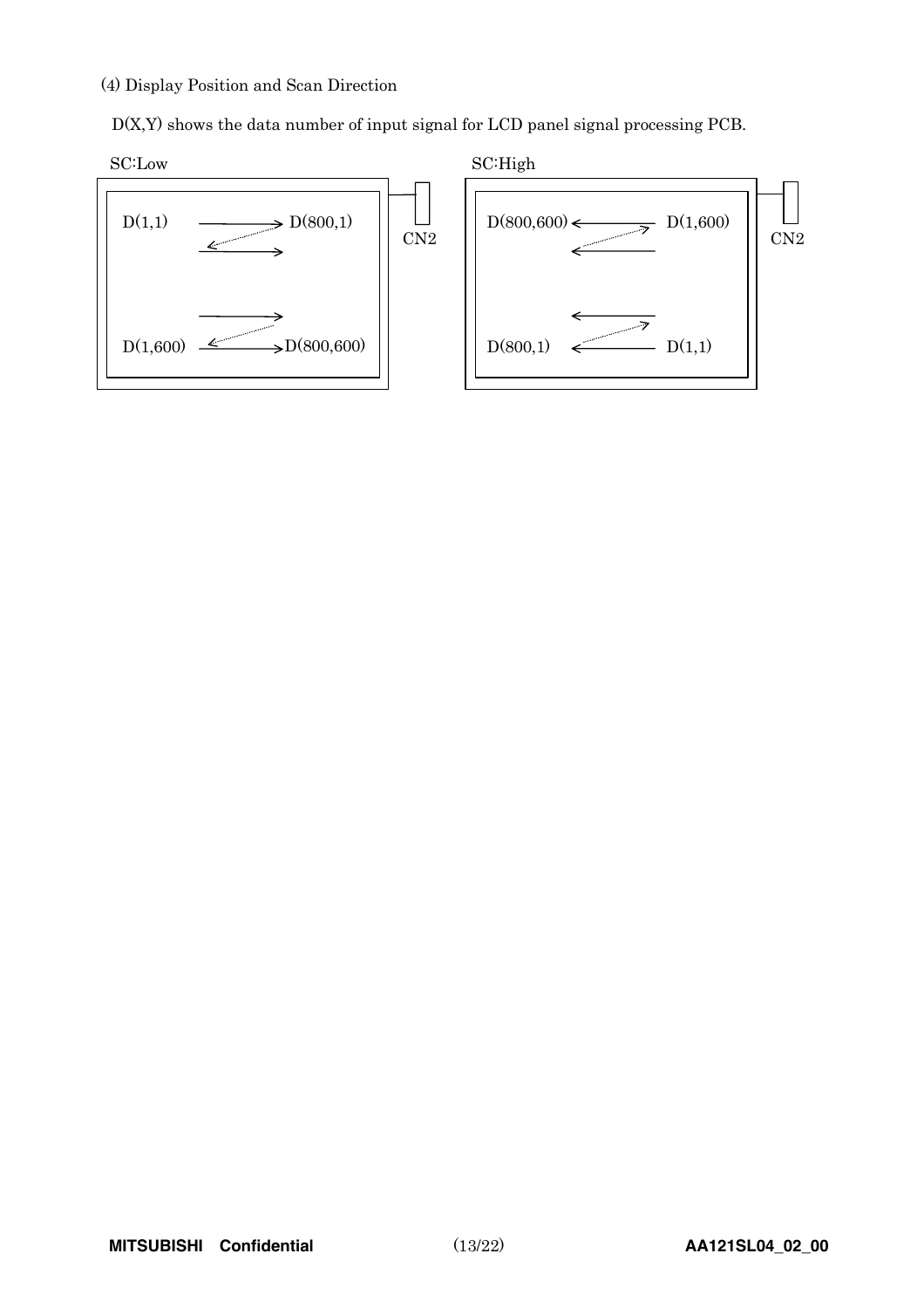#### (4) Display Position and Scan Direction

D(X,Y) shows the data number of input signal for LCD panel signal processing PCB.

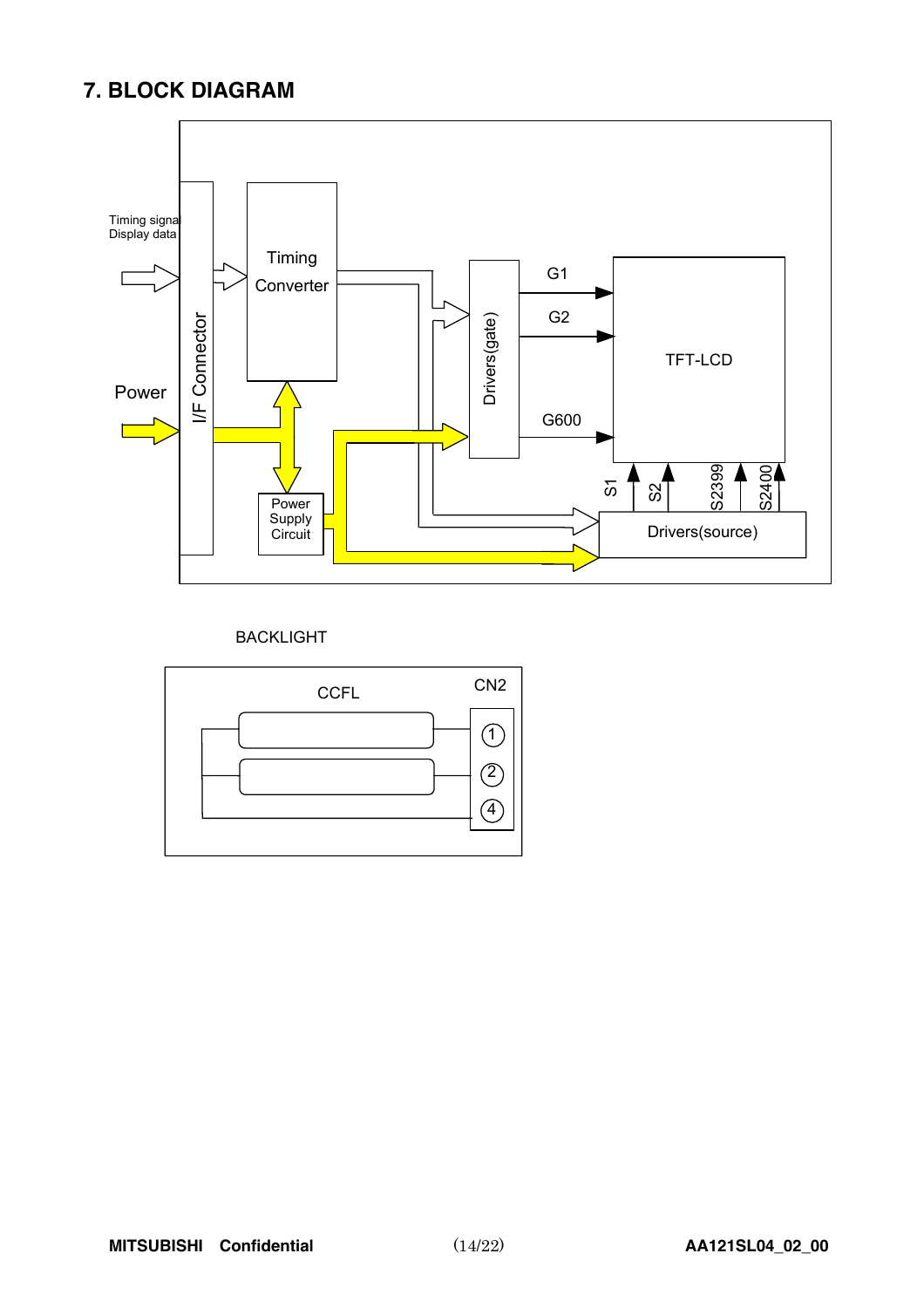### **7. BLOCK DIAGRAM**



BACKLIGHT

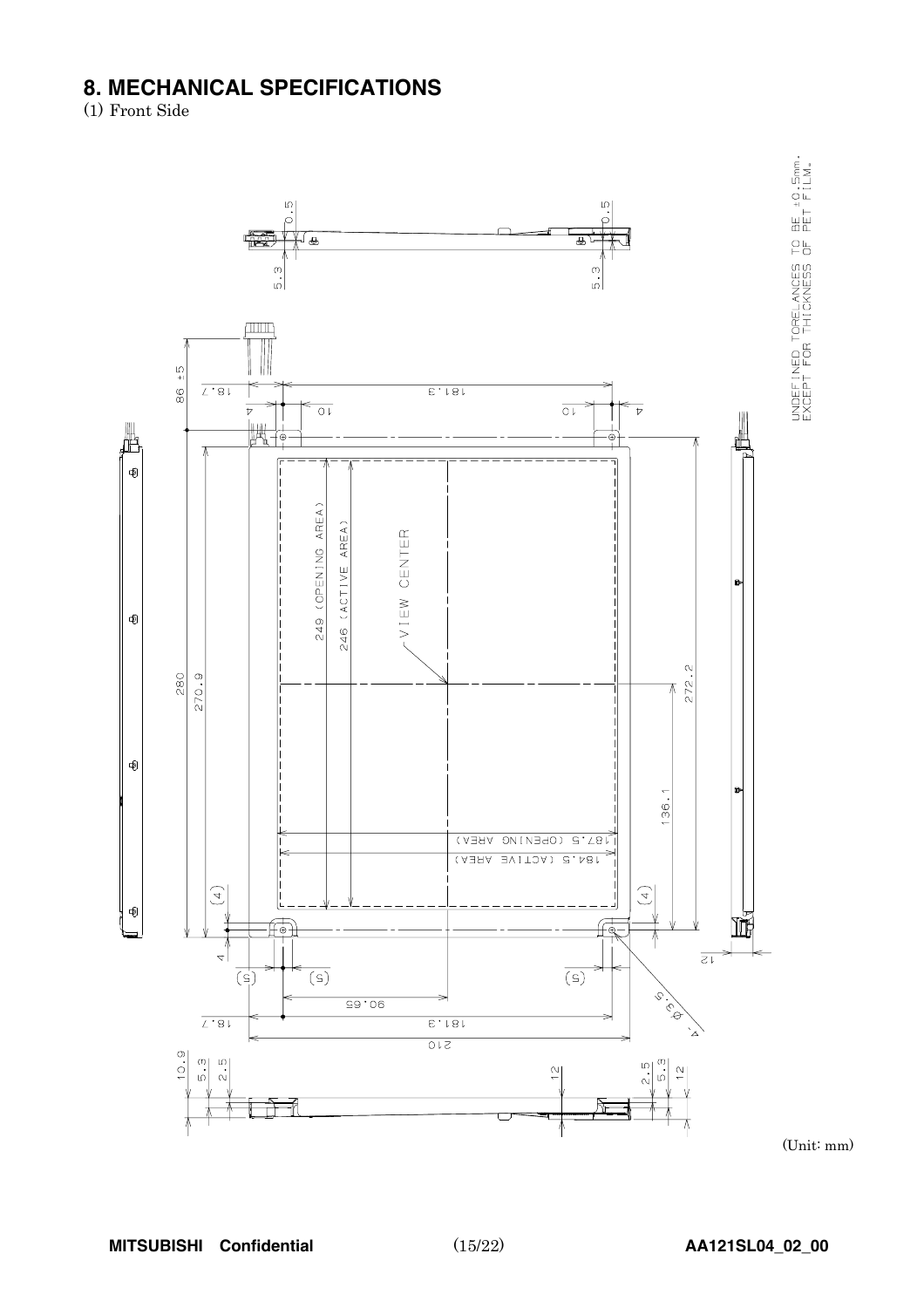## **8. MECHANICAL SPECIFICATIONS**<br>(1) Front Side



UNDEFINED TORELANCES TO BE ±0.5mm.<br>EXCEPT FOR THICKNESS OF PET FILM.

(Unit: mm)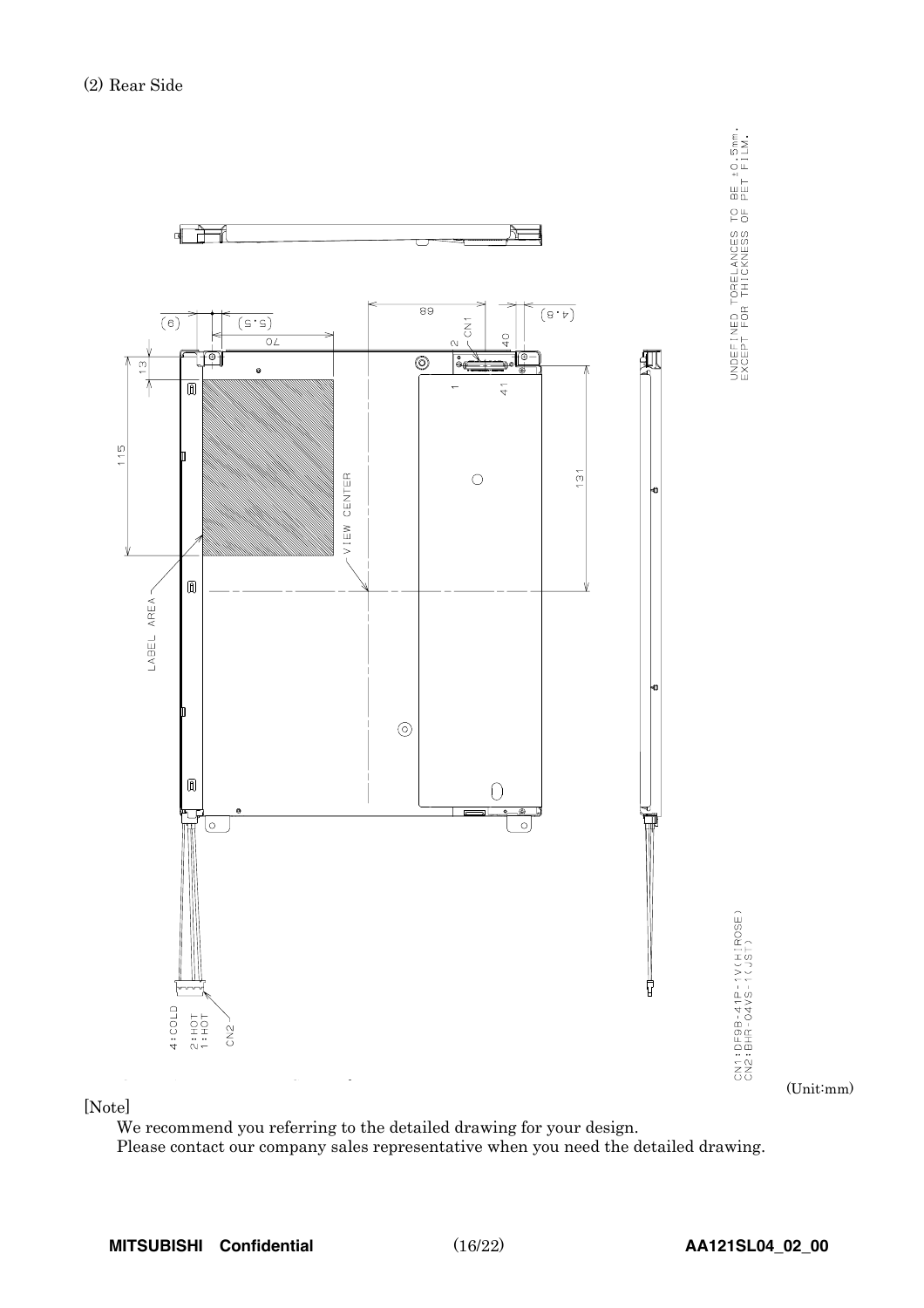

 $\begin{bmatrix} \text{matrix} \\ \text{en} \end{bmatrix}$ 

### [Note]

We recommend you referring to the detailed drawing for your design. Please contact our company sales representative when you need the detailed drawing.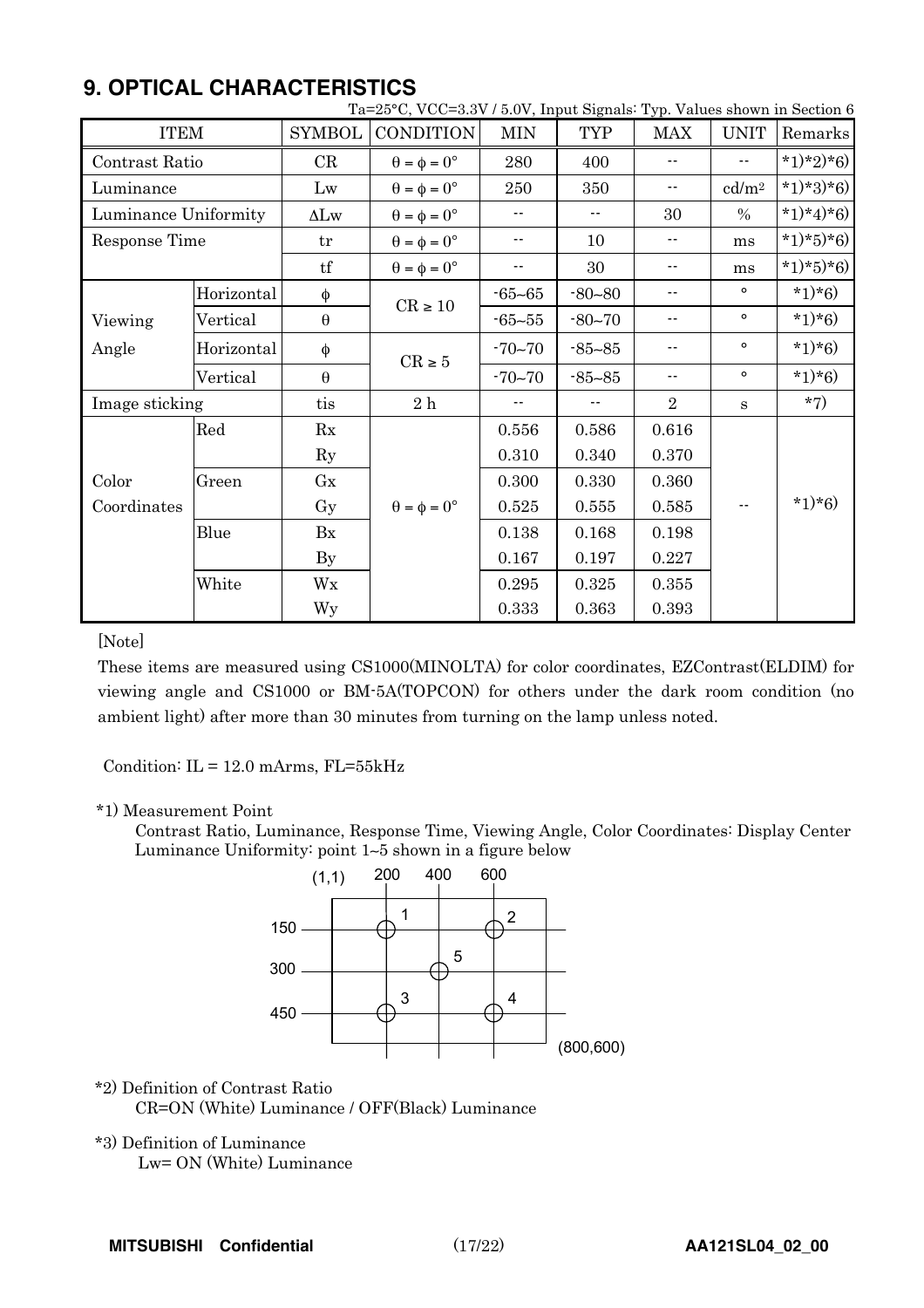## **9. OPTICAL CHARACTERISTICS**

| Ta=25°C, VCC=3.3V / 5.0V, Input Signals: Typ. Values shown in Section 6 |            |                        |                             |                            |                            |                            |                            |           |
|-------------------------------------------------------------------------|------------|------------------------|-----------------------------|----------------------------|----------------------------|----------------------------|----------------------------|-----------|
| <b>ITEM</b>                                                             |            | <b>SYMBOL</b>          | <b>CONDITION</b>            | <b>MIN</b>                 | <b>TYP</b>                 | <b>MAX</b>                 | <b>UNIT</b>                | Remarks   |
| Contrast Ratio                                                          |            | CR                     | $\theta = \phi = 0^{\circ}$ | 280                        | 400                        | $\overline{\phantom{a}}$ . | $\overline{\phantom{a}}$ . | *1)*2)*6) |
| Luminance                                                               |            | Lw                     | $\theta = \phi = 0^{\circ}$ | 250                        | 350                        | ۰-                         | cd/m <sup>2</sup>          | *1)*3)*6) |
| Luminance Uniformity                                                    |            | $\Delta L$ w           | $\theta = \phi = 0^{\circ}$ | ۰.                         | $\overline{\phantom{a}}$ . | 30                         | $\%$                       | *1)*4)*6) |
| Response Time                                                           |            | tr                     | $\theta = \phi = 0^{\circ}$ | $\overline{\phantom{a}}$ . | 10                         | $\overline{\phantom{a}}$ . | ms                         | *1)*5)*6) |
|                                                                         |            | $\mathop{\mathrm{tf}}$ | $\theta = \phi = 0^{\circ}$ | ۰.                         | 30                         | $\overline{\phantom{a}}$ . | ms                         | *1)*5)*6) |
|                                                                         | Horizontal | φ                      |                             | $-65 - 65$                 | $-80 - 80$                 | ۰-                         | $\circ$                    | $*1)*6$   |
| Viewing                                                                 | Vertical   | $\boldsymbol{\theta}$  | $\mathrm{CR} \geq 10$       | $-65 - 55$                 | $-80 - 70$                 | ۰-                         | $\circ$                    | $*1)*6$   |
| Angle                                                                   | Horizontal | φ                      | $CR \geq 5$                 | $-70 - 70$                 | $-85 - 85$                 |                            | $\circ$                    | $*1)*6$   |
|                                                                         | Vertical   | $\boldsymbol{\theta}$  |                             | $-70 - 70$                 | $-85 - 85$                 | $\overline{\phantom{a}}$ . | $\circ$                    | $*1)*6$   |
| Image sticking                                                          |            | tis                    | 2h                          |                            |                            | $\overline{2}$             | S                          | $*7)$     |
|                                                                         | Red        | Rx                     |                             | 0.556                      | 0.586                      | 0.616                      |                            |           |
|                                                                         |            | $\rm Ry$               |                             | 0.310                      | 0.340                      | 0.370                      |                            |           |
| Color                                                                   | Green      | $\rm{G}x$              |                             | 0.300                      | 0.330                      | 0.360                      |                            |           |
| Coordinates                                                             |            | Gy                     | $\theta = \phi = 0^{\circ}$ | 0.525                      | 0.555                      | 0.585                      | $\sim$ $\sim$              | $*1)*6$   |
|                                                                         | Blue       | Bx                     |                             | 0.138                      | 0.168                      | 0.198                      |                            |           |
|                                                                         |            |                        |                             | 0.167                      | 0.197                      | 0.227                      |                            |           |
|                                                                         | White      | Wx                     |                             | 0.295                      | 0.325                      | 0.355                      |                            |           |
|                                                                         |            | Wy                     |                             | 0.333                      | 0.363                      | 0.393                      |                            |           |

### [Note]

These items are measured using CS1000(MINOLTA) for color coordinates, EZContrast(ELDIM) for viewing angle and CS1000 or BM-5A(TOPCON) for others under the dark room condition (no ambient light) after more than 30 minutes from turning on the lamp unless noted.

Condition:  $IL = 12.0$  mArms,  $FL = 55kHz$ 

### \*1) Measurement Point

Contrast Ratio, Luminance, Response Time, Viewing Angle, Color Coordinates: Display Center Luminance Uniformity: point 1∼5 shown in a figure below



### \*2) Definition of Contrast Ratio

CR=ON (White) Luminance / OFF(Black) Luminance

### \*3) Definition of Luminance

Lw= ON (White) Luminance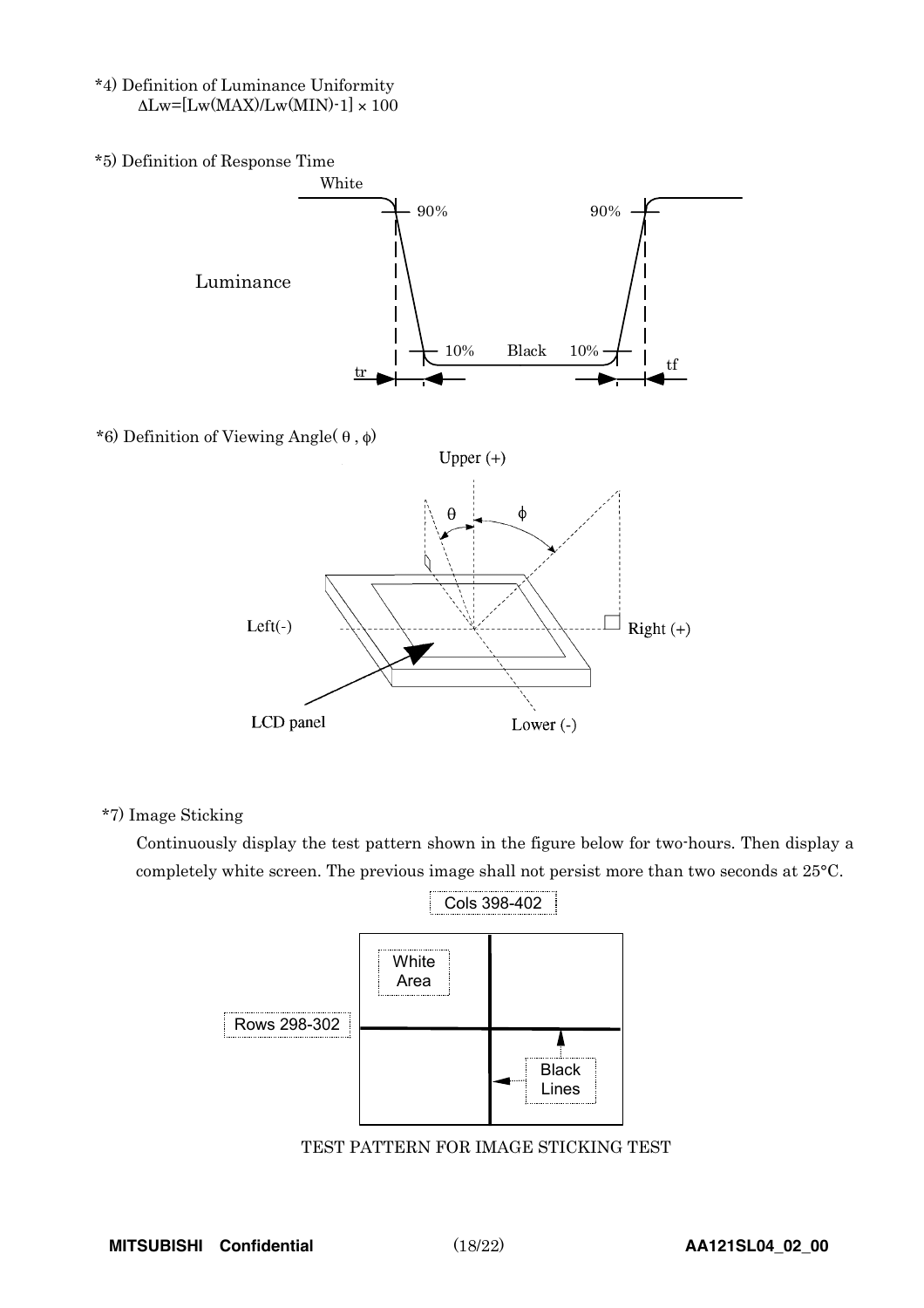- \*4) Definition of Luminance Uniformity  $\Delta$ Lw=[Lw(MAX)/Lw(MIN)-1] × 100
- \*5) Definition of Response Time



\*7) Image Sticking

Continuously display the test pattern shown in the figure below for two-hours. Then display a completely white screen. The previous image shall not persist more than two seconds at 25°C.



TEST PATTERN FOR IMAGE STICKING TEST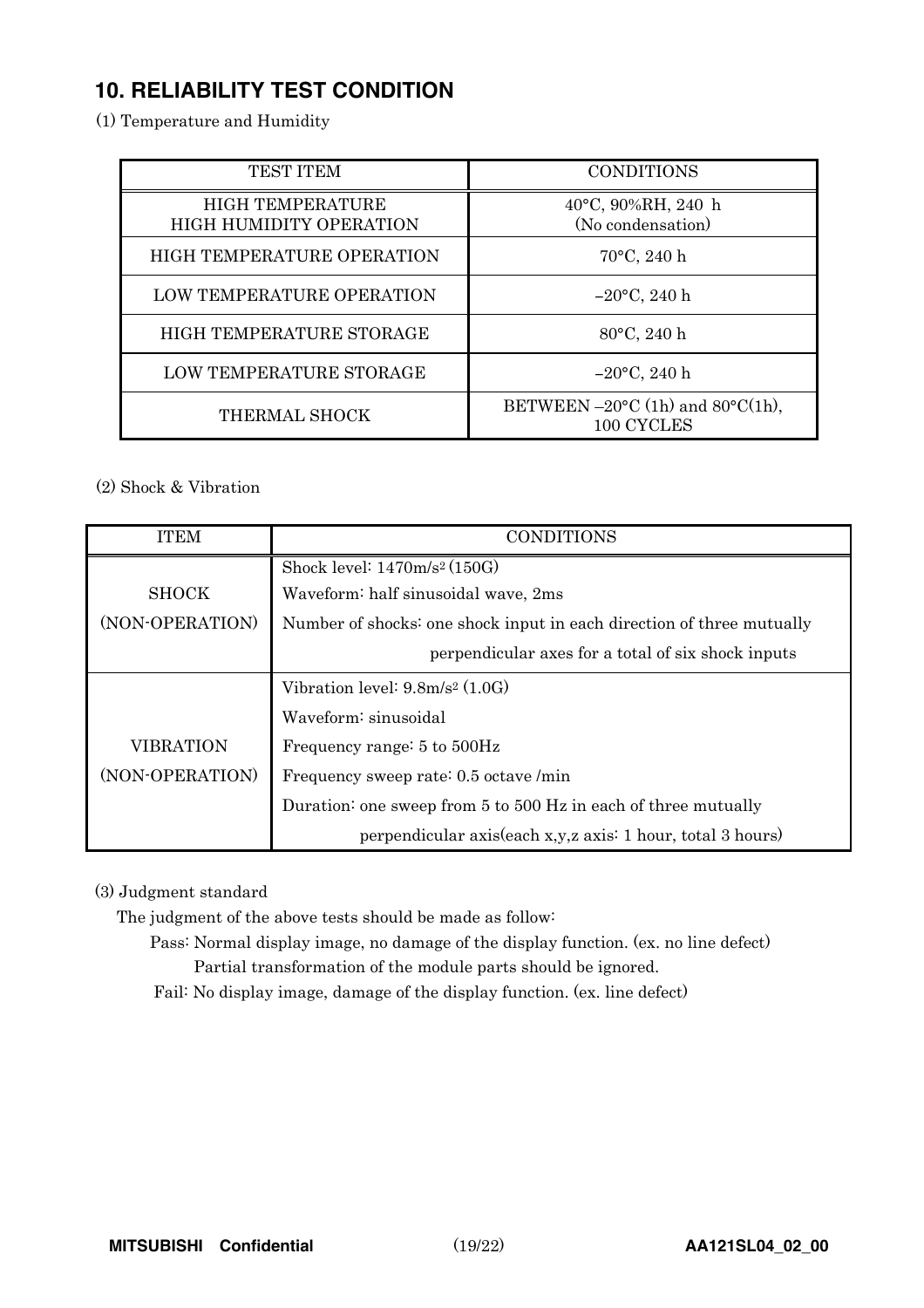## **10. RELIABILITY TEST CONDITION**

(1) Temperature and Humidity

| <b>TEST ITEM</b>                                          | <b>CONDITIONS</b>                                                   |
|-----------------------------------------------------------|---------------------------------------------------------------------|
| <b>HIGH TEMPERATURE</b><br><b>HIGH HUMIDITY OPERATION</b> | 40°C, 90%RH, 240 h<br>(No condensation)                             |
| HIGH TEMPERATURE OPERATION                                | $70^{\circ}$ C, 240 h                                               |
| <b>LOW TEMPERATURE OPERATION</b>                          | $-20$ °C, 240 h                                                     |
| HIGH TEMPERATURE STORAGE                                  | 80°C, 240 h                                                         |
| LOW TEMPERATURE STORAGE                                   | $-20$ °C, 240 h                                                     |
| THERMAL SHOCK                                             | BETWEEN $-20^{\circ}$ C (1h) and 80 $^{\circ}$ C(1h),<br>100 CYCLES |

(2) Shock & Vibration

| <b>ITEM</b>      | <b>CONDITIONS</b>                                                     |
|------------------|-----------------------------------------------------------------------|
|                  | Shock level: $1470 \text{m/s}^2 (150 \text{G})$                       |
| <b>SHOCK</b>     | Waveform: half sinusoidal wave, 2ms                                   |
| (NON-OPERATION)  | Number of shocks: one shock input in each direction of three mutually |
|                  | perpendicular axes for a total of six shock inputs                    |
|                  | Vibration level: $9.8m/s^2$ (1.0G)                                    |
|                  | Waveform: sinusoidal                                                  |
| <b>VIBRATION</b> | Frequency range: 5 to 500Hz                                           |
| (NON-OPERATION)  | Frequency sweep rate: 0.5 octave /min                                 |
|                  | Duration: one sweep from 5 to 500 Hz in each of three mutually        |
|                  | perpendicular axis(each x,y,z axis: 1 hour, total 3 hours)            |

(3) Judgment standard

The judgment of the above tests should be made as follow:

Pass: Normal display image, no damage of the display function. (ex. no line defect) Partial transformation of the module parts should be ignored.

Fail: No display image, damage of the display function. (ex. line defect)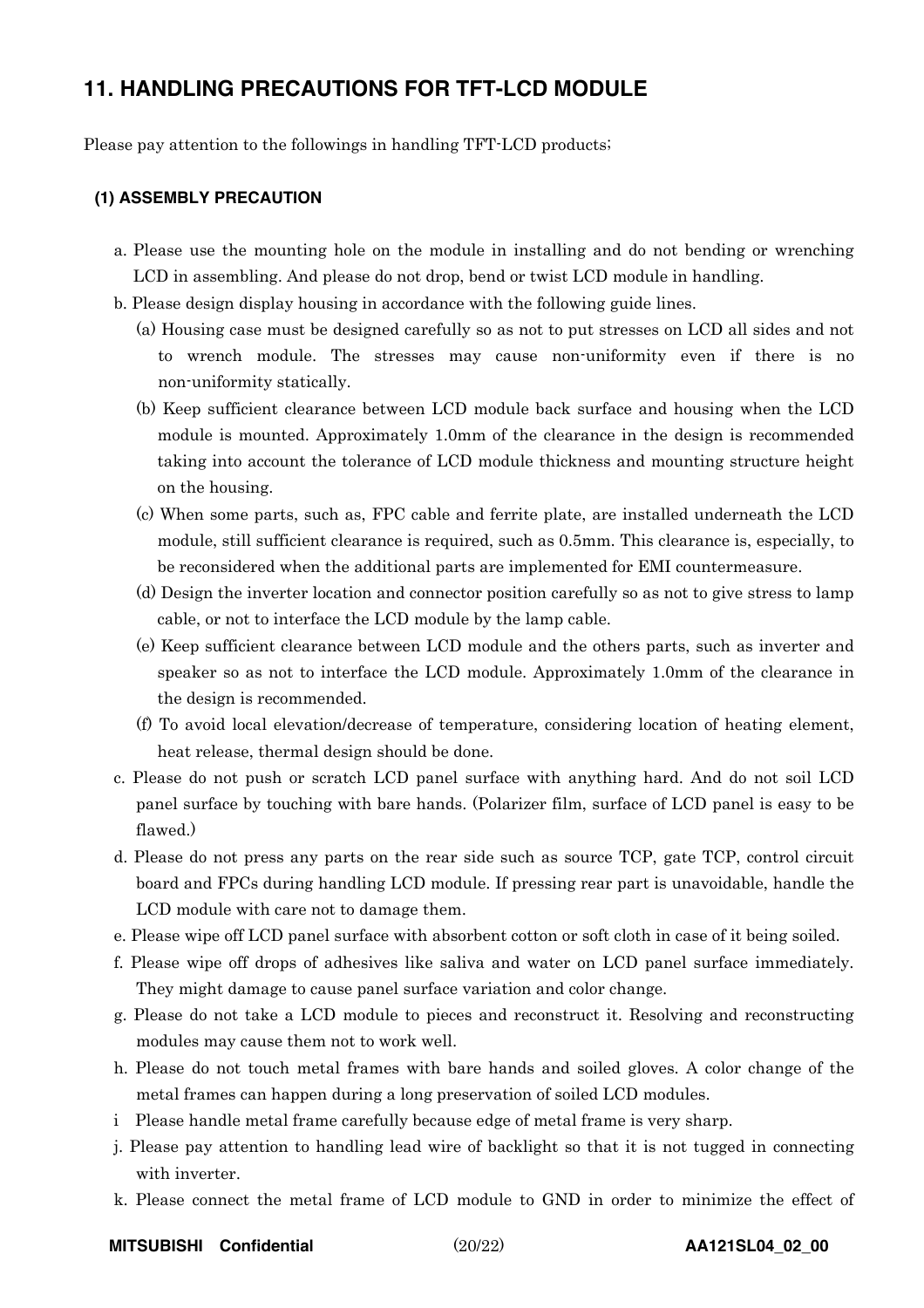## **11. HANDLING PRECAUTIONS FOR TFT-LCD MODULE**

Please pay attention to the followings in handling TFT-LCD products;

### **(1) ASSEMBLY PRECAUTION**

- a. Please use the mounting hole on the module in installing and do not bending or wrenching LCD in assembling. And please do not drop, bend or twist LCD module in handling.
- b. Please design display housing in accordance with the following guide lines.
	- (a) Housing case must be designed carefully so as not to put stresses on LCD all sides and not to wrench module. The stresses may cause non-uniformity even if there is no non-uniformity statically.
	- (b) Keep sufficient clearance between LCD module back surface and housing when the LCD module is mounted. Approximately 1.0mm of the clearance in the design is recommended taking into account the tolerance of LCD module thickness and mounting structure height on the housing.
	- (c) When some parts, such as, FPC cable and ferrite plate, are installed underneath the LCD module, still sufficient clearance is required, such as 0.5mm. This clearance is, especially, to be reconsidered when the additional parts are implemented for EMI countermeasure.
	- (d) Design the inverter location and connector position carefully so as not to give stress to lamp cable, or not to interface the LCD module by the lamp cable.
	- (e) Keep sufficient clearance between LCD module and the others parts, such as inverter and speaker so as not to interface the LCD module. Approximately 1.0mm of the clearance in the design is recommended.
	- (f) To avoid local elevation/decrease of temperature, considering location of heating element, heat release, thermal design should be done.
- c. Please do not push or scratch LCD panel surface with anything hard. And do not soil LCD panel surface by touching with bare hands. (Polarizer film, surface of LCD panel is easy to be flawed.)
- d. Please do not press any parts on the rear side such as source TCP, gate TCP, control circuit board and FPCs during handling LCD module. If pressing rear part is unavoidable, handle the LCD module with care not to damage them.
- e. Please wipe off LCD panel surface with absorbent cotton or soft cloth in case of it being soiled.
- f. Please wipe off drops of adhesives like saliva and water on LCD panel surface immediately. They might damage to cause panel surface variation and color change.
- g. Please do not take a LCD module to pieces and reconstruct it. Resolving and reconstructing modules may cause them not to work well.
- h. Please do not touch metal frames with bare hands and soiled gloves. A color change of the metal frames can happen during a long preservation of soiled LCD modules.
- i Please handle metal frame carefully because edge of metal frame is very sharp.
- j. Please pay attention to handling lead wire of backlight so that it is not tugged in connecting with inverter.
- k. Please connect the metal frame of LCD module to GND in order to minimize the effect of

**MITSUBISHI Confidential** (20/22) **AA121SL04\_02\_00**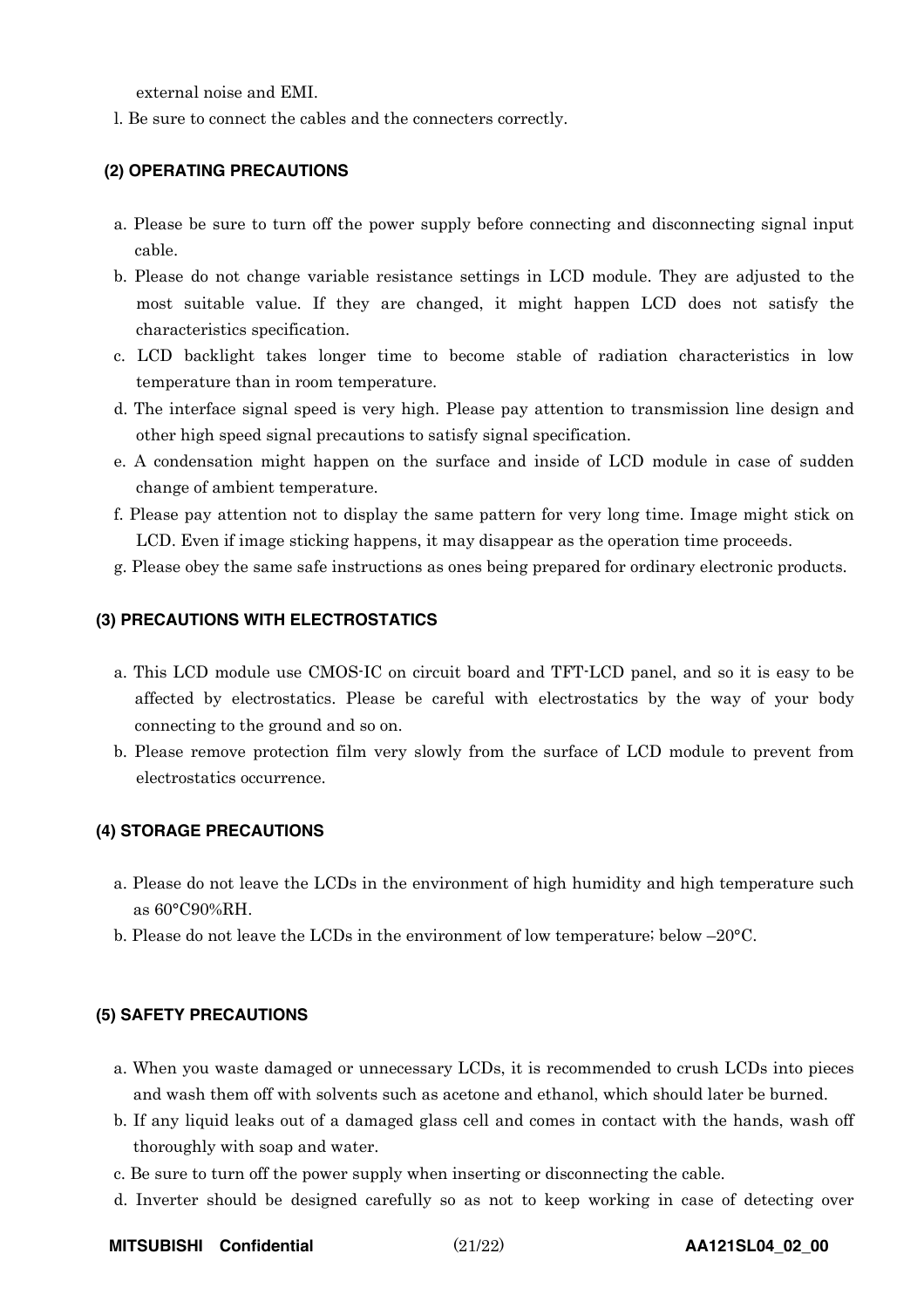external noise and EMI.

l. Be sure to connect the cables and the connecters correctly.

### **(2) OPERATING PRECAUTIONS**

- a. Please be sure to turn off the power supply before connecting and disconnecting signal input cable.
- b. Please do not change variable resistance settings in LCD module. They are adjusted to the most suitable value. If they are changed, it might happen LCD does not satisfy the characteristics specification.
- c. LCD backlight takes longer time to become stable of radiation characteristics in low temperature than in room temperature.
- d. The interface signal speed is very high. Please pay attention to transmission line design and other high speed signal precautions to satisfy signal specification.
- e. A condensation might happen on the surface and inside of LCD module in case of sudden change of ambient temperature.
- f. Please pay attention not to display the same pattern for very long time. Image might stick on LCD. Even if image sticking happens, it may disappear as the operation time proceeds.
- g. Please obey the same safe instructions as ones being prepared for ordinary electronic products.

#### **(3) PRECAUTIONS WITH ELECTROSTATICS**

- a. This LCD module use CMOS-IC on circuit board and TFT-LCD panel, and so it is easy to be affected by electrostatics. Please be careful with electrostatics by the way of your body connecting to the ground and so on.
- b. Please remove protection film very slowly from the surface of LCD module to prevent from electrostatics occurrence.

#### **(4) STORAGE PRECAUTIONS**

- a. Please do not leave the LCDs in the environment of high humidity and high temperature such as 60°C90%RH.
- b. Please do not leave the LCDs in the environment of low temperature; below –20°C.

### **(5) SAFETY PRECAUTIONS**

- a. When you waste damaged or unnecessary LCDs, it is recommended to crush LCDs into pieces and wash them off with solvents such as acetone and ethanol, which should later be burned.
- b. If any liquid leaks out of a damaged glass cell and comes in contact with the hands, wash off thoroughly with soap and water.
- c. Be sure to turn off the power supply when inserting or disconnecting the cable.
- d. Inverter should be designed carefully so as not to keep working in case of detecting over

**MITSUBISHI Confidential** (21/22) **AA121SL04\_02\_00**